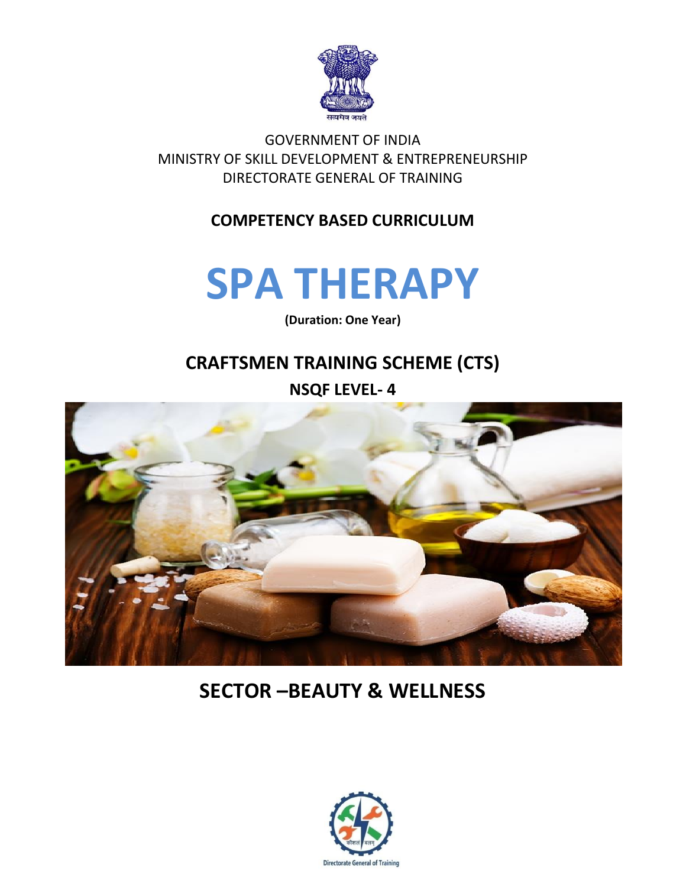

GOVERNMENT OF INDIA MINISTRY OF SKILL DEVELOPMENT & ENTREPRENEURSHIP DIRECTORATE GENERAL OF TRAINING

#### **COMPETENCY BASED CURRICULUM**

## **SPA THERAPY**

**(Duration: One Year)**

## **CRAFTSMEN TRAINING SCHEME (CTS) NSQF LEVEL- 4**



## **SECTOR –BEAUTY & WELLNESS**

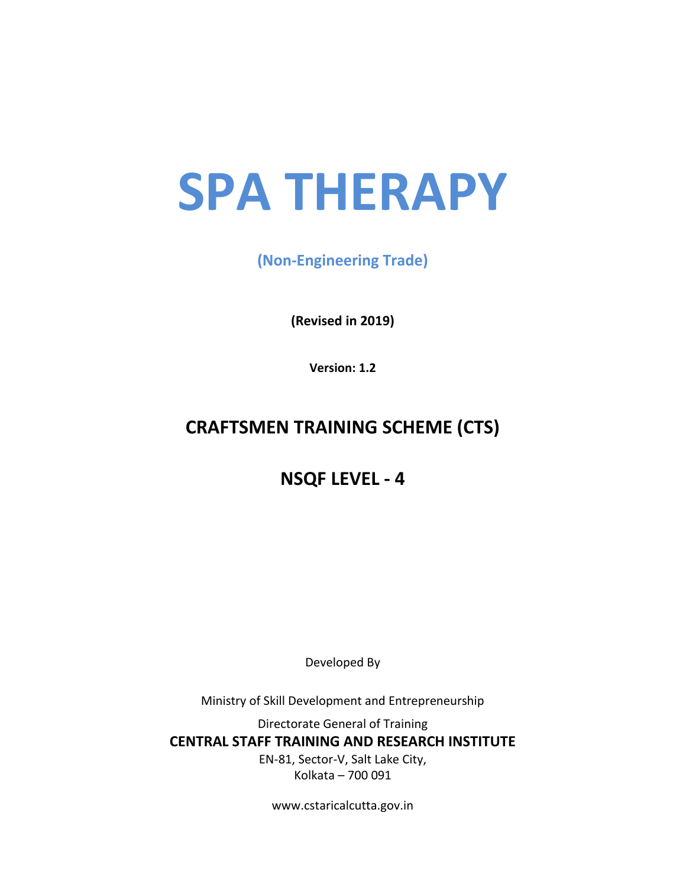# **SPA THERAPY**

**(Non-Engineering Trade)**

**(Revised in 2019)**

**Version: 1.2**

### **CRAFTSMEN TRAINING SCHEME (CTS)**

**NSQF LEVEL - 4**

Developed By

Ministry of Skill Development and Entrepreneurship

Directorate General of Training **CENTRAL STAFF TRAINING AND RESEARCH INSTITUTE** EN-81, Sector-V, Salt Lake City, Kolkata – 700 091

www.cstaricalcutta.gov.in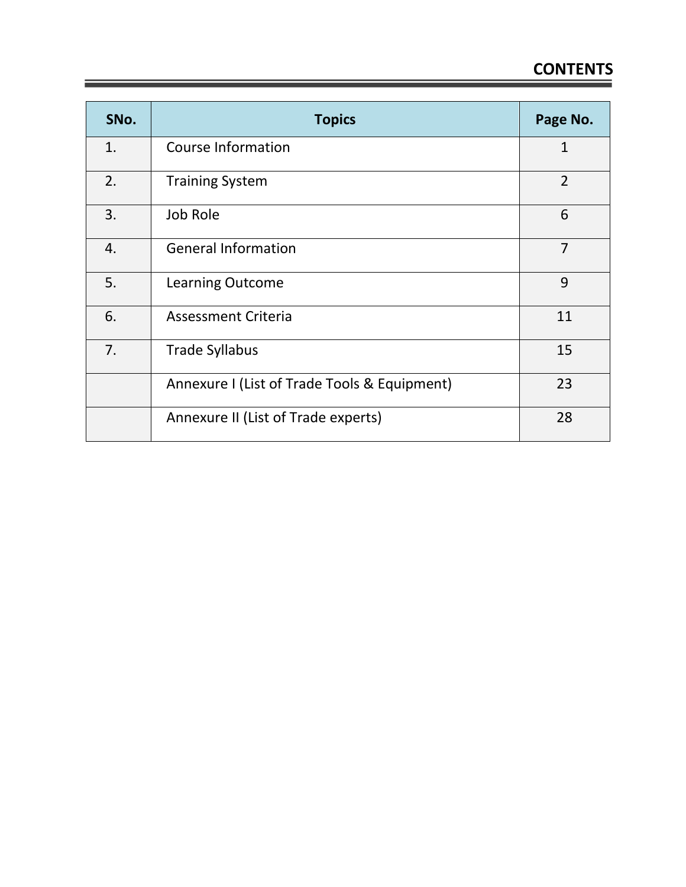| SNo. | <b>Topics</b>                                | Page No.       |
|------|----------------------------------------------|----------------|
| 1.   | <b>Course Information</b>                    | $\mathbf 1$    |
| 2.   | <b>Training System</b>                       | $\overline{2}$ |
| 3.   | Job Role                                     | 6              |
| 4.   | <b>General Information</b>                   | $\overline{7}$ |
| 5.   | <b>Learning Outcome</b>                      | 9              |
| 6.   | <b>Assessment Criteria</b>                   | 11             |
| 7.   | <b>Trade Syllabus</b>                        | 15             |
|      | Annexure I (List of Trade Tools & Equipment) | 23             |
|      | Annexure II (List of Trade experts)          | 28             |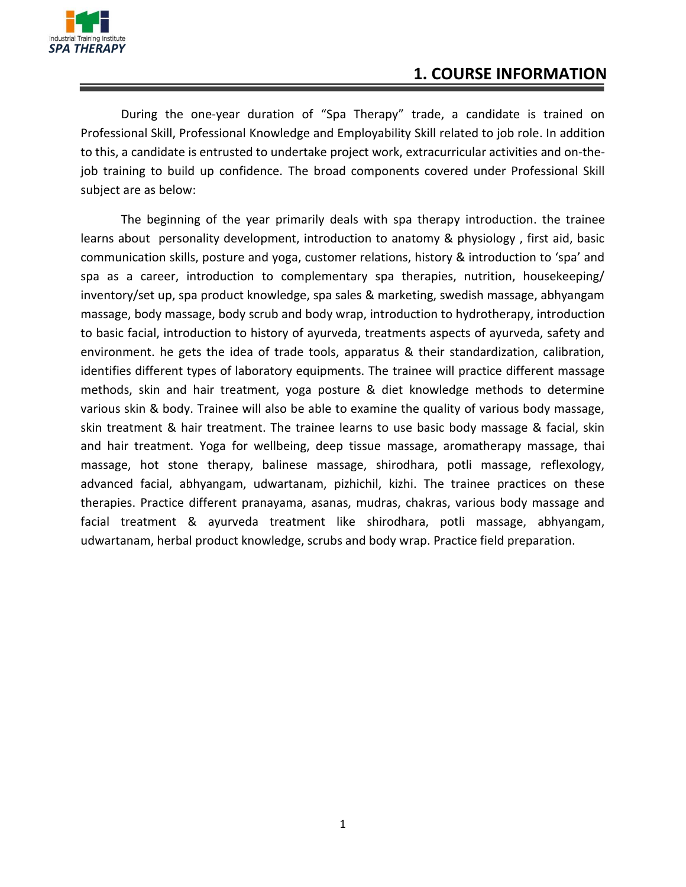

During the one-year duration of "Spa Therapy" trade, a candidate is trained on Professional Skill, Professional Knowledge and Employability Skill related to job role. In addition to this, a candidate is entrusted to undertake project work, extracurricular activities and on-thejob training to build up confidence. The broad components covered under Professional Skill subject are as below:

The beginning of the year primarily deals with spa therapy introduction. the trainee learns about personality development, introduction to anatomy & physiology , first aid, basic communication skills, posture and yoga, customer relations, history & introduction to 'spa' and spa as a career, introduction to complementary spa therapies, nutrition, housekeeping/ inventory/set up, spa product knowledge, spa sales & marketing, swedish massage, abhyangam massage, body massage, body scrub and body wrap, introduction to hydrotherapy, introduction to basic facial, introduction to history of ayurveda, treatments aspects of ayurveda, safety and environment. he gets the idea of trade tools, apparatus & their standardization, calibration, identifies different types of laboratory equipments. The trainee will practice different massage methods, skin and hair treatment, yoga posture & diet knowledge methods to determine various skin & body. Trainee will also be able to examine the quality of various body massage, skin treatment & hair treatment. The trainee learns to use basic body massage & facial, skin and hair treatment. Yoga for wellbeing, deep tissue massage, aromatherapy massage, thai massage, hot stone therapy, balinese massage, shirodhara, potli massage, reflexology, advanced facial, abhyangam, udwartanam, pizhichil, kizhi. The trainee practices on these therapies. Practice different pranayama, asanas, mudras, chakras, various body massage and facial treatment & ayurveda treatment like shirodhara, potli massage, abhyangam, udwartanam, herbal product knowledge, scrubs and body wrap. Practice field preparation.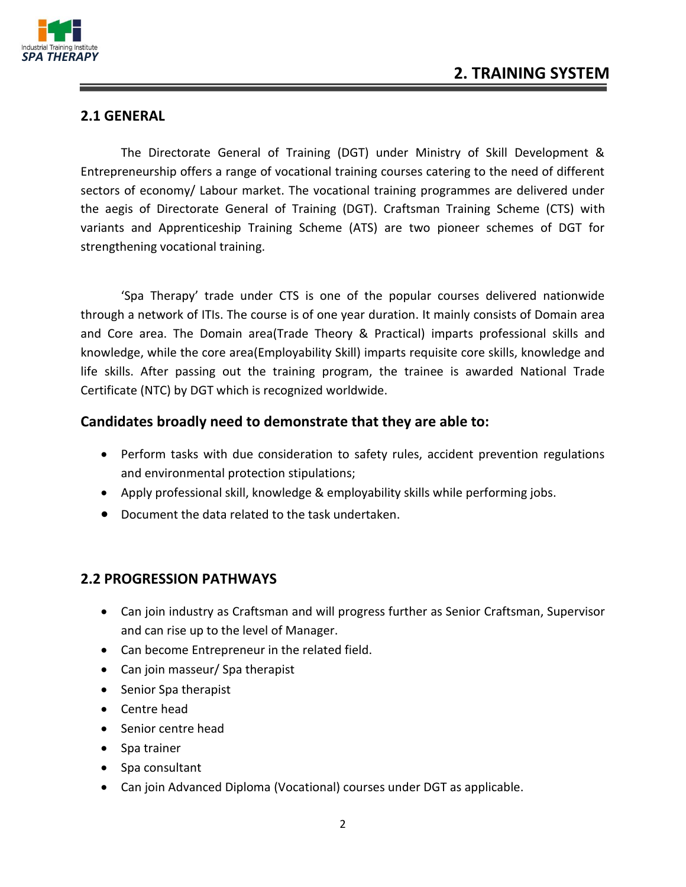

#### **2.1 GENERAL**

The Directorate General of Training (DGT) under Ministry of Skill Development & Entrepreneurship offers a range of vocational training courses catering to the need of different sectors of economy/ Labour market. The vocational training programmes are delivered under the aegis of Directorate General of Training (DGT). Craftsman Training Scheme (CTS) with variants and Apprenticeship Training Scheme (ATS) are two pioneer schemes of DGT for strengthening vocational training.

'Spa Therapy' trade under CTS is one of the popular courses delivered nationwide through a network of ITIs. The course is of one year duration. It mainly consists of Domain area and Core area. The Domain area(Trade Theory & Practical) imparts professional skills and knowledge, while the core area(Employability Skill) imparts requisite core skills, knowledge and life skills. After passing out the training program, the trainee is awarded National Trade Certificate (NTC) by DGT which is recognized worldwide.

#### **Candidates broadly need to demonstrate that they are able to:**

- Perform tasks with due consideration to safety rules, accident prevention regulations and environmental protection stipulations;
- Apply professional skill, knowledge & employability skills while performing jobs.
- Document the data related to the task undertaken.

#### **2.2 PROGRESSION PATHWAYS**

- Can join industry as Craftsman and will progress further as Senior Craftsman, Supervisor and can rise up to the level of Manager.
- Can become Entrepreneur in the related field.
- Can join masseur/ Spa therapist
- Senior Spa therapist
- Centre head
- Senior centre head
- Spa trainer
- Spa consultant
- Can join Advanced Diploma (Vocational) courses under DGT as applicable.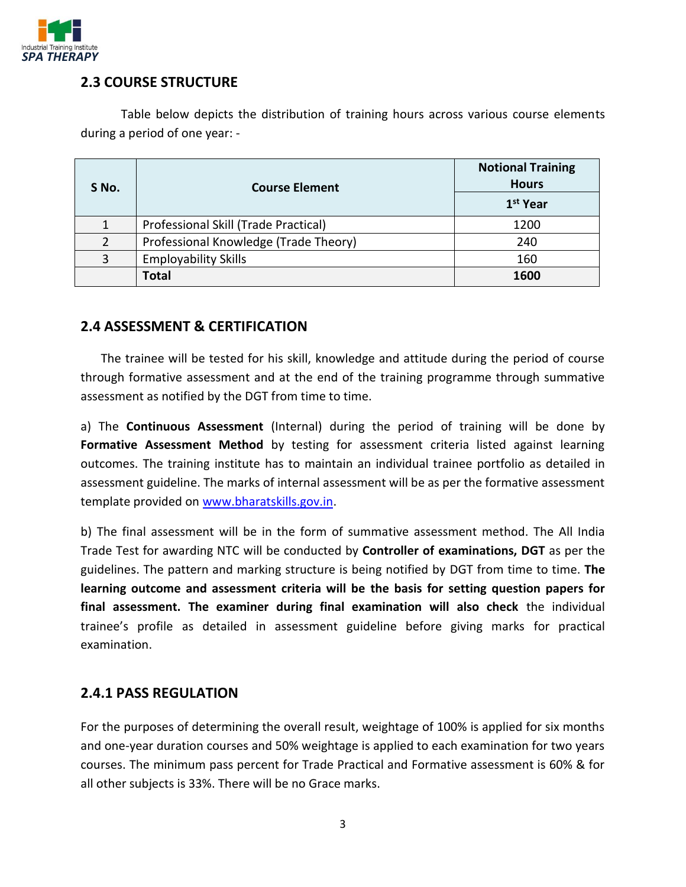

#### **2.3 COURSE STRUCTURE**

Table below depicts the distribution of training hours across various course elements during a period of one year: -

| S No.         | <b>Course Element</b>                 | <b>Notional Training</b><br><b>Hours</b><br>1 <sup>st</sup> Year |
|---------------|---------------------------------------|------------------------------------------------------------------|
|               | Professional Skill (Trade Practical)  | 1200                                                             |
| $\mathcal{P}$ | Professional Knowledge (Trade Theory) | 240                                                              |
| 3             | <b>Employability Skills</b>           | 160                                                              |
|               | <b>Total</b>                          | 1600                                                             |

#### **2.4 ASSESSMENT & CERTIFICATION**

The trainee will be tested for his skill, knowledge and attitude during the period of course through formative assessment and at the end of the training programme through summative assessment as notified by the DGT from time to time.

a) The **Continuous Assessment** (Internal) during the period of training will be done by **Formative Assessment Method** by testing for assessment criteria listed against learning outcomes. The training institute has to maintain an individual trainee portfolio as detailed in assessment guideline. The marks of internal assessment will be as per the formative assessment template provided on [www.bharatskills.gov.in.](http://www.bharatskills.gov.in/)

b) The final assessment will be in the form of summative assessment method. The All India Trade Test for awarding NTC will be conducted by **Controller of examinations, DGT** as per the guidelines. The pattern and marking structure is being notified by DGT from time to time. **The learning outcome and assessment criteria will be the basis for setting question papers for final assessment. The examiner during final examination will also check** the individual trainee's profile as detailed in assessment guideline before giving marks for practical examination.

#### **2.4.1 PASS REGULATION**

For the purposes of determining the overall result, weightage of 100% is applied for six months and one-year duration courses and 50% weightage is applied to each examination for two years courses. The minimum pass percent for Trade Practical and Formative assessment is 60% & for all other subjects is 33%. There will be no Grace marks.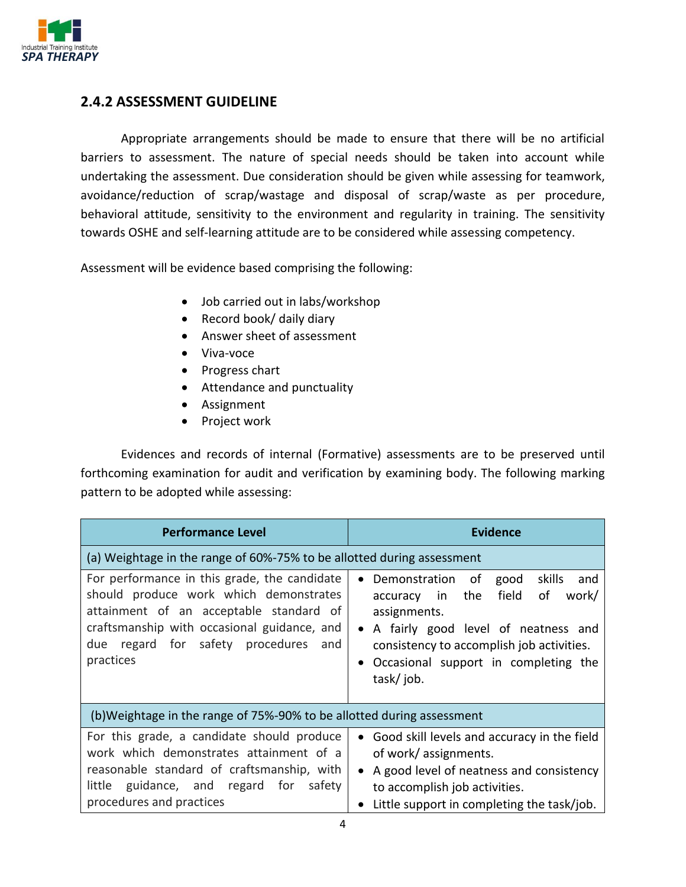

#### **2.4.2 ASSESSMENT GUIDELINE**

Appropriate arrangements should be made to ensure that there will be no artificial barriers to assessment. The nature of special needs should be taken into account while undertaking the assessment. Due consideration should be given while assessing for teamwork, avoidance/reduction of scrap/wastage and disposal of scrap/waste as per procedure, behavioral attitude, sensitivity to the environment and regularity in training. The sensitivity towards OSHE and self-learning attitude are to be considered while assessing competency.

Assessment will be evidence based comprising the following:

- Job carried out in labs/workshop
- Record book/ daily diary
- Answer sheet of assessment
- Viva-voce
- Progress chart
- Attendance and punctuality
- Assignment
- Project work

Evidences and records of internal (Formative) assessments are to be preserved until forthcoming examination for audit and verification by examining body. The following marking pattern to be adopted while assessing:

| <b>Performance Level</b>                                                                                                                                                                                                                 | <b>Evidence</b>                                                                                                                                                                                                                                            |  |  |  |
|------------------------------------------------------------------------------------------------------------------------------------------------------------------------------------------------------------------------------------------|------------------------------------------------------------------------------------------------------------------------------------------------------------------------------------------------------------------------------------------------------------|--|--|--|
| (a) Weightage in the range of 60%-75% to be allotted during assessment                                                                                                                                                                   |                                                                                                                                                                                                                                                            |  |  |  |
| For performance in this grade, the candidate<br>should produce work which demonstrates<br>attainment of an acceptable standard of<br>craftsmanship with occasional guidance, and<br>due regard for safety procedures<br>and<br>practices | skills<br>Demonstration of<br>good<br>and<br>field<br>of<br>accuracy in the<br>work/<br>assignments.<br>A fairly good level of neatness and<br>consistency to accomplish job activities.<br>Occasional support in completing the<br>$\bullet$<br>task/job. |  |  |  |
| (b) Weightage in the range of 75%-90% to be allotted during assessment                                                                                                                                                                   |                                                                                                                                                                                                                                                            |  |  |  |
| For this grade, a candidate should produce<br>work which demonstrates attainment of a<br>reasonable standard of craftsmanship, with<br>little guidance, and regard for safety<br>procedures and practices                                | Good skill levels and accuracy in the field<br>of work/assignments.<br>A good level of neatness and consistency<br>to accomplish job activities.<br>Little support in completing the task/job.                                                             |  |  |  |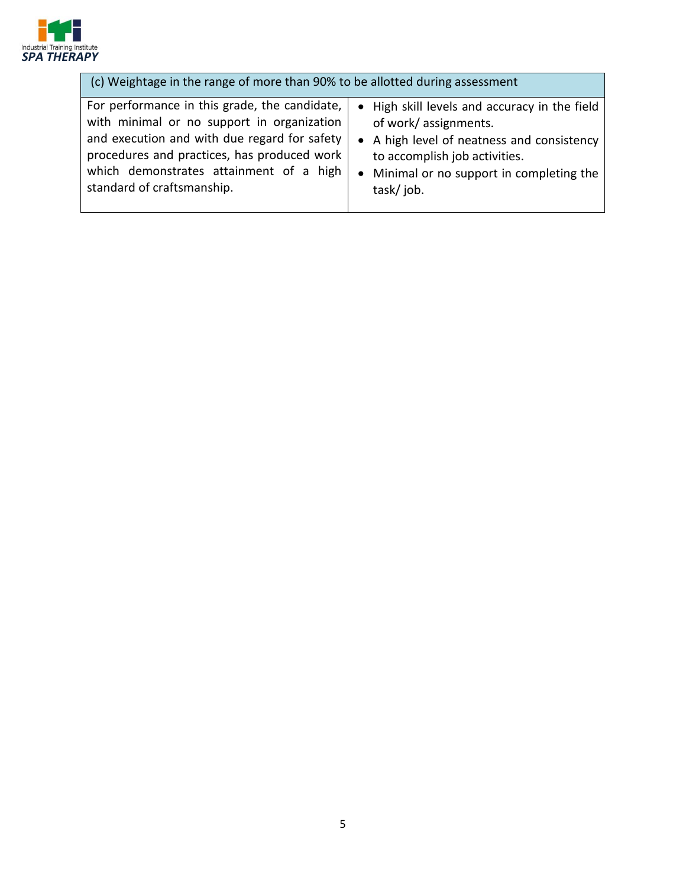

| (c) Weightage in the range of more than 90% to be allotted during assessment |                                               |  |  |  |
|------------------------------------------------------------------------------|-----------------------------------------------|--|--|--|
| For performance in this grade, the candidate,                                | • High skill levels and accuracy in the field |  |  |  |
| with minimal or no support in organization                                   | of work/assignments.                          |  |  |  |
| and execution and with due regard for safety                                 | • A high level of neatness and consistency    |  |  |  |
| procedures and practices, has produced work                                  | to accomplish job activities.                 |  |  |  |
| which demonstrates attainment of a high                                      | • Minimal or no support in completing the     |  |  |  |
| standard of craftsmanship.                                                   | task/job.                                     |  |  |  |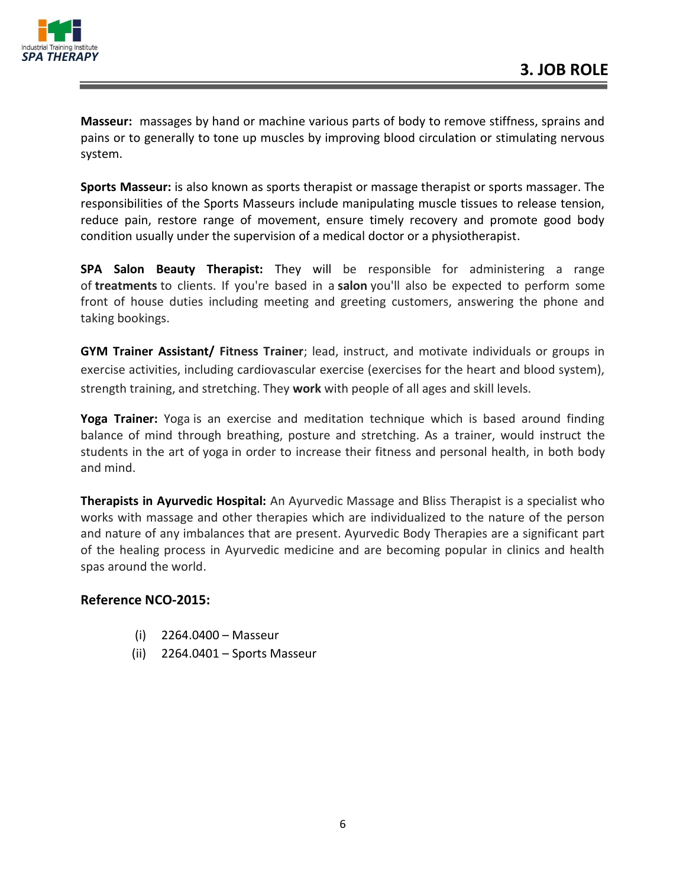

**Masseur:** massages by hand or machine various parts of body to remove stiffness, sprains and pains or to generally to tone up muscles by improving blood circulation or stimulating nervous system.

**Sports Masseur:** is also known as sports therapist or massage therapist or sports massager. The responsibilities of the Sports Masseurs include manipulating muscle tissues to release tension, reduce pain, restore range of movement, ensure timely recovery and promote good body condition usually under the supervision of a medical doctor or a physiotherapist.

**SPA Salon Beauty Therapist:** They will be responsible for administering a range of **treatments** to clients. If you're based in a **salon** you'll also be expected to perform some front of house duties including meeting and greeting customers, answering the phone and taking bookings.

**GYM Trainer Assistant/ Fitness Trainer**; lead, instruct, and motivate individuals or groups in exercise activities, including cardiovascular exercise (exercises for the heart and blood system), strength training, and stretching. They **work** with people of all ages and skill levels.

**Yoga Trainer:** Yoga is an exercise and meditation technique which is based around finding balance of mind through breathing, posture and stretching. As a trainer, would instruct the students in the art of yoga in order to increase their fitness and personal health, in both body and mind.

**Therapists in Ayurvedic Hospital:** An Ayurvedic Massage and Bliss Therapist is a specialist who works with massage and other therapies which are individualized to the nature of the person and nature of any imbalances that are present. Ayurvedic Body Therapies are a significant part of the healing process in Ayurvedic medicine and are becoming popular in clinics and health spas around the world.

#### **Reference NCO-2015:**

- (i) 2264.0400 Masseur
- (ii) 2264.0401 Sports Masseur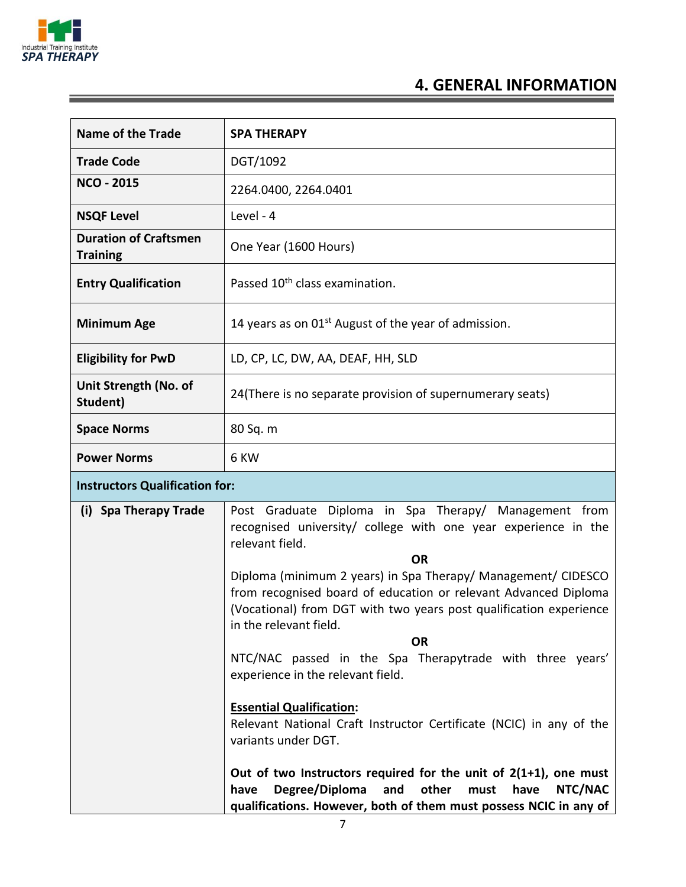

\_\_\_

## **4. GENERAL INFORMATION**

| <b>Name of the Trade</b>                        | <b>SPA THERAPY</b>                                                                                                                                                                                                                                                                                                                                                                                                                                                                                                                                                                                                                                                                                                                                                                                                                                          |  |  |  |  |
|-------------------------------------------------|-------------------------------------------------------------------------------------------------------------------------------------------------------------------------------------------------------------------------------------------------------------------------------------------------------------------------------------------------------------------------------------------------------------------------------------------------------------------------------------------------------------------------------------------------------------------------------------------------------------------------------------------------------------------------------------------------------------------------------------------------------------------------------------------------------------------------------------------------------------|--|--|--|--|
| <b>Trade Code</b>                               | DGT/1092                                                                                                                                                                                                                                                                                                                                                                                                                                                                                                                                                                                                                                                                                                                                                                                                                                                    |  |  |  |  |
| <b>NCO - 2015</b>                               | 2264.0400, 2264.0401                                                                                                                                                                                                                                                                                                                                                                                                                                                                                                                                                                                                                                                                                                                                                                                                                                        |  |  |  |  |
| <b>NSQF Level</b>                               | Level - 4                                                                                                                                                                                                                                                                                                                                                                                                                                                                                                                                                                                                                                                                                                                                                                                                                                                   |  |  |  |  |
| <b>Duration of Craftsmen</b><br><b>Training</b> | One Year (1600 Hours)                                                                                                                                                                                                                                                                                                                                                                                                                                                                                                                                                                                                                                                                                                                                                                                                                                       |  |  |  |  |
| <b>Entry Qualification</b>                      | Passed 10 <sup>th</sup> class examination.                                                                                                                                                                                                                                                                                                                                                                                                                                                                                                                                                                                                                                                                                                                                                                                                                  |  |  |  |  |
| <b>Minimum Age</b>                              | 14 years as on $01st$ August of the year of admission.                                                                                                                                                                                                                                                                                                                                                                                                                                                                                                                                                                                                                                                                                                                                                                                                      |  |  |  |  |
| <b>Eligibility for PwD</b>                      | LD, CP, LC, DW, AA, DEAF, HH, SLD                                                                                                                                                                                                                                                                                                                                                                                                                                                                                                                                                                                                                                                                                                                                                                                                                           |  |  |  |  |
| Unit Strength (No. of<br>Student)               | 24(There is no separate provision of supernumerary seats)                                                                                                                                                                                                                                                                                                                                                                                                                                                                                                                                                                                                                                                                                                                                                                                                   |  |  |  |  |
| <b>Space Norms</b>                              | 80 Sq. m                                                                                                                                                                                                                                                                                                                                                                                                                                                                                                                                                                                                                                                                                                                                                                                                                                                    |  |  |  |  |
| <b>Power Norms</b>                              | 6 KW                                                                                                                                                                                                                                                                                                                                                                                                                                                                                                                                                                                                                                                                                                                                                                                                                                                        |  |  |  |  |
| <b>Instructors Qualification for:</b>           |                                                                                                                                                                                                                                                                                                                                                                                                                                                                                                                                                                                                                                                                                                                                                                                                                                                             |  |  |  |  |
| (i) Spa Therapy Trade                           | Post Graduate Diploma in Spa Therapy/ Management from<br>recognised university/ college with one year experience in the<br>relevant field.<br><b>OR</b><br>Diploma (minimum 2 years) in Spa Therapy/ Management/ CIDESCO<br>from recognised board of education or relevant Advanced Diploma<br>(Vocational) from DGT with two years post qualification experience<br>in the relevant field.<br><b>OR</b><br>NTC/NAC passed in the Spa Therapytrade with three years'<br>experience in the relevant field.<br><b>Essential Qualification:</b><br>Relevant National Craft Instructor Certificate (NCIC) in any of the<br>variants under DGT.<br>Out of two Instructors required for the unit of $2(1+1)$ , one must<br>Degree/Diploma<br>other<br>must<br>have<br>NTC/NAC<br>and<br>have<br>qualifications. However, both of them must possess NCIC in any of |  |  |  |  |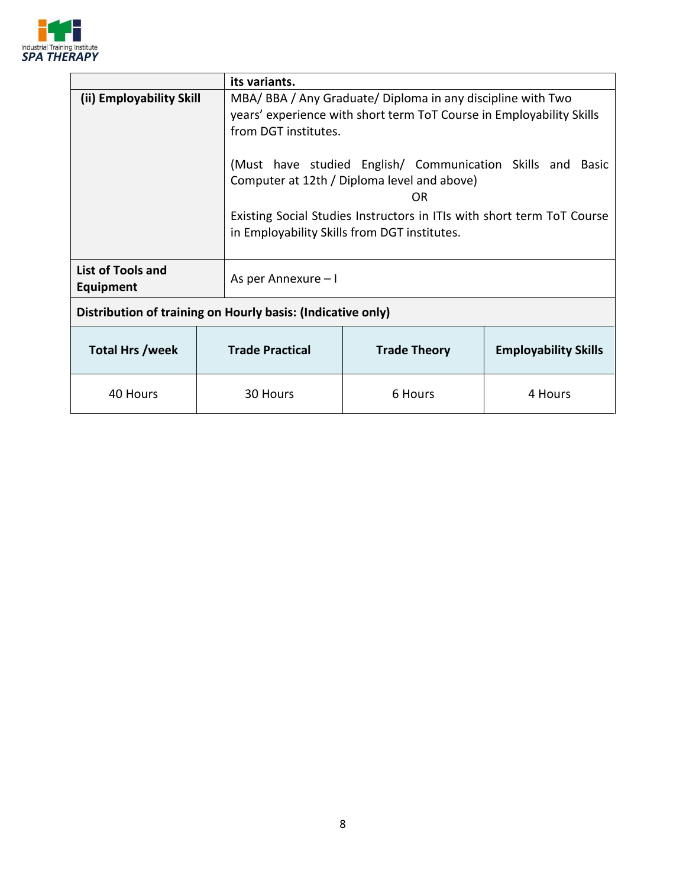

|                                                             | its variants.          |                                                                                                                                                                                                                                                                                                                                                                              |                             |  |  |  |
|-------------------------------------------------------------|------------------------|------------------------------------------------------------------------------------------------------------------------------------------------------------------------------------------------------------------------------------------------------------------------------------------------------------------------------------------------------------------------------|-----------------------------|--|--|--|
| (ii) Employability Skill                                    | from DGT institutes.   | MBA/BBA/Any Graduate/Diploma in any discipline with Two<br>years' experience with short term ToT Course in Employability Skills<br>(Must have studied English/ Communication Skills and Basic<br>Computer at 12th / Diploma level and above)<br>ΩR<br>Existing Social Studies Instructors in ITIs with short term ToT Course<br>in Employability Skills from DGT institutes. |                             |  |  |  |
| List of Tools and<br>Equipment                              | As per Annexure - I    |                                                                                                                                                                                                                                                                                                                                                                              |                             |  |  |  |
| Distribution of training on Hourly basis: (Indicative only) |                        |                                                                                                                                                                                                                                                                                                                                                                              |                             |  |  |  |
| <b>Total Hrs /week</b>                                      | <b>Trade Practical</b> | <b>Trade Theory</b>                                                                                                                                                                                                                                                                                                                                                          | <b>Employability Skills</b> |  |  |  |
| 40 Hours                                                    | 30 Hours               | 6 Hours                                                                                                                                                                                                                                                                                                                                                                      | 4 Hours                     |  |  |  |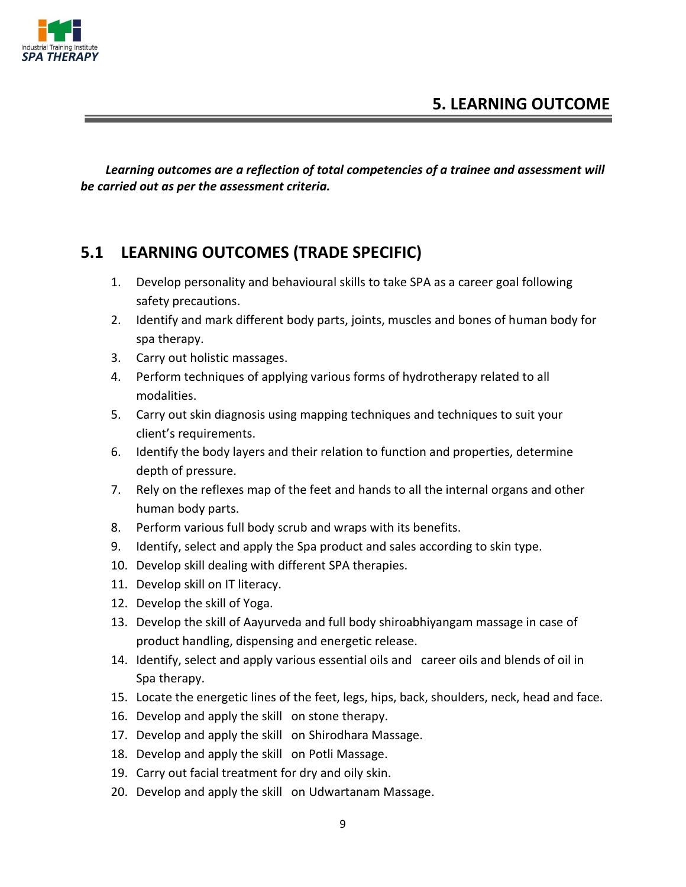



*Learning outcomes are a reflection of total competencies of a trainee and assessment will be carried out as per the assessment criteria.*

#### **5.1 LEARNING OUTCOMES (TRADE SPECIFIC)**

- 1. Develop personality and behavioural skills to take SPA as a career goal following safety precautions.
- 2. Identify and mark different body parts, joints, muscles and bones of human body for spa therapy.
- 3. Carry out holistic massages.
- 4. Perform techniques of applying various forms of hydrotherapy related to all modalities.
- 5. Carry out skin diagnosis using mapping techniques and techniques to suit your client's requirements.
- 6. Identify the body layers and their relation to function and properties, determine depth of pressure.
- 7. Rely on the reflexes map of the feet and hands to all the internal organs and other human body parts.
- 8. Perform various full body scrub and wraps with its benefits.
- 9. Identify, select and apply the Spa product and sales according to skin type.
- 10. Develop skill dealing with different SPA therapies.
- 11. Develop skill on IT literacy.
- 12. Develop the skill of Yoga.
- 13. Develop the skill of Aayurveda and full body shiroabhiyangam massage in case of product handling, dispensing and energetic release.
- 14. Identify, select and apply various essential oils and career oils and blends of oil in Spa therapy.
- 15. Locate the energetic lines of the feet, legs, hips, back, shoulders, neck, head and face.
- 16. Develop and apply the skill on stone therapy.
- 17. Develop and apply the skill on Shirodhara Massage.
- 18. Develop and apply the skill on Potli Massage.
- 19. Carry out facial treatment for dry and oily skin.
- 20. Develop and apply the skill on Udwartanam Massage.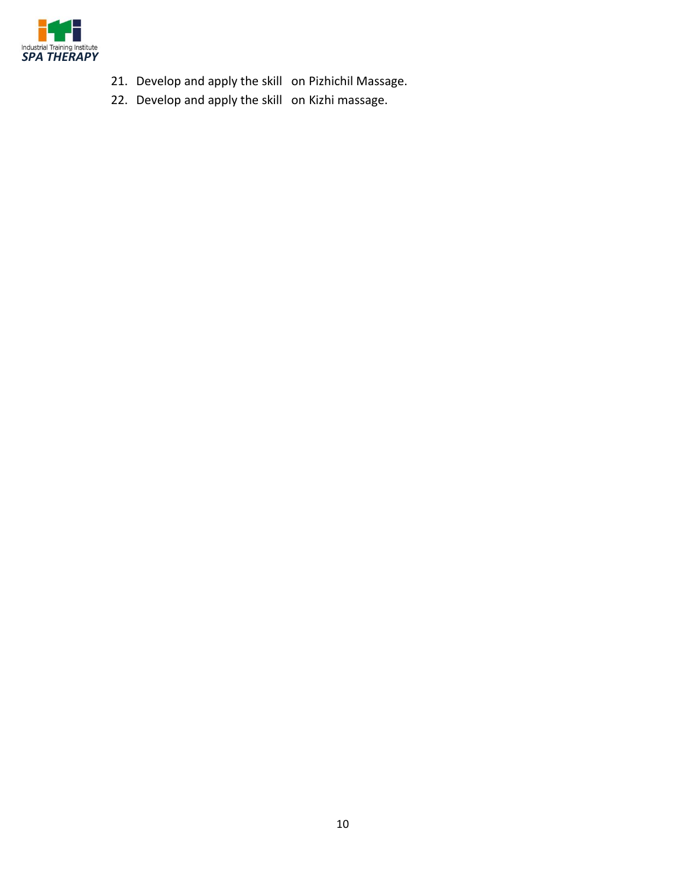

- 21. Develop and apply the skill on Pizhichil Massage.
- 22. Develop and apply the skill on Kizhi massage.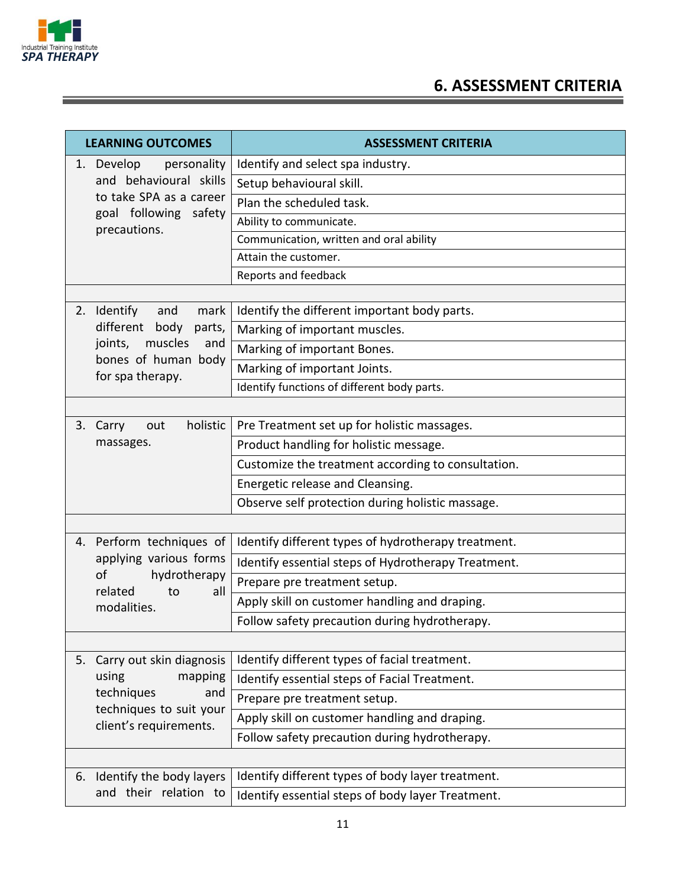

Ξ

## **6. ASSESSMENT CRITERIA**

| <b>LEARNING OUTCOMES</b> |                                                                                            | <b>ASSESSMENT CRITERIA</b>                          |  |  |  |  |
|--------------------------|--------------------------------------------------------------------------------------------|-----------------------------------------------------|--|--|--|--|
| 1.                       | Develop<br>personality                                                                     | Identify and select spa industry.                   |  |  |  |  |
|                          | and behavioural skills<br>to take SPA as a career<br>goal following safety<br>precautions. | Setup behavioural skill.                            |  |  |  |  |
|                          |                                                                                            | Plan the scheduled task.                            |  |  |  |  |
|                          |                                                                                            | Ability to communicate.                             |  |  |  |  |
|                          |                                                                                            | Communication, written and oral ability             |  |  |  |  |
|                          |                                                                                            | Attain the customer.                                |  |  |  |  |
|                          |                                                                                            | Reports and feedback                                |  |  |  |  |
|                          |                                                                                            |                                                     |  |  |  |  |
|                          | 2. Identify<br>mark<br>and                                                                 | Identify the different important body parts.        |  |  |  |  |
|                          | different body<br>parts,<br>muscles<br>and                                                 | Marking of important muscles.                       |  |  |  |  |
|                          | joints,<br>bones of human body                                                             | Marking of important Bones.                         |  |  |  |  |
|                          | for spa therapy.                                                                           | Marking of important Joints.                        |  |  |  |  |
|                          |                                                                                            | Identify functions of different body parts.         |  |  |  |  |
|                          |                                                                                            |                                                     |  |  |  |  |
|                          | holistic<br>3. Carry<br>out                                                                | Pre Treatment set up for holistic massages.         |  |  |  |  |
|                          | massages.                                                                                  | Product handling for holistic message.              |  |  |  |  |
|                          |                                                                                            | Customize the treatment according to consultation.  |  |  |  |  |
|                          |                                                                                            | Energetic release and Cleansing.                    |  |  |  |  |
|                          |                                                                                            | Observe self protection during holistic massage.    |  |  |  |  |
|                          |                                                                                            |                                                     |  |  |  |  |
|                          | 4. Perform techniques of                                                                   | Identify different types of hydrotherapy treatment. |  |  |  |  |
|                          | applying various forms<br>of<br>hydrotherapy<br>related<br>to<br>all<br>modalities.        | Identify essential steps of Hydrotherapy Treatment. |  |  |  |  |
|                          |                                                                                            | Prepare pre treatment setup.                        |  |  |  |  |
|                          |                                                                                            | Apply skill on customer handling and draping.       |  |  |  |  |
|                          |                                                                                            | Follow safety precaution during hydrotherapy.       |  |  |  |  |
|                          |                                                                                            |                                                     |  |  |  |  |
| 5.                       | Carry out skin diagnosis                                                                   | Identify different types of facial treatment.       |  |  |  |  |
|                          | using<br>mapping<br>techniques<br>and                                                      | Identify essential steps of Facial Treatment.       |  |  |  |  |
|                          |                                                                                            | Prepare pre treatment setup.                        |  |  |  |  |
|                          | techniques to suit your                                                                    | Apply skill on customer handling and draping.       |  |  |  |  |
|                          | client's requirements.                                                                     | Follow safety precaution during hydrotherapy.       |  |  |  |  |
|                          |                                                                                            |                                                     |  |  |  |  |
| 6.                       | Identify the body layers                                                                   | Identify different types of body layer treatment.   |  |  |  |  |
|                          | and their relation to                                                                      | Identify essential steps of body layer Treatment.   |  |  |  |  |
|                          |                                                                                            |                                                     |  |  |  |  |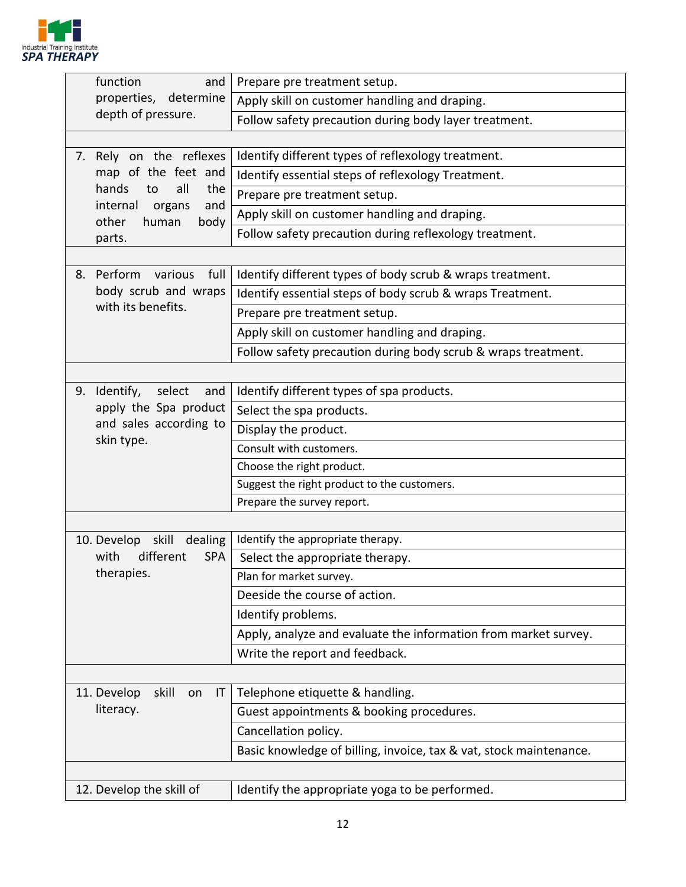

|    | function<br>and                                     | Prepare pre treatment setup.                                       |
|----|-----------------------------------------------------|--------------------------------------------------------------------|
|    | properties, determine<br>depth of pressure.         | Apply skill on customer handling and draping.                      |
|    |                                                     | Follow safety precaution during body layer treatment.              |
|    |                                                     |                                                                    |
|    | 7. Rely on the reflexes                             | Identify different types of reflexology treatment.                 |
|    | map of the feet and                                 | Identify essential steps of reflexology Treatment.                 |
|    | hands<br>all<br>the<br>to                           | Prepare pre treatment setup.                                       |
|    | internal<br>and<br>organs<br>other<br>human<br>body | Apply skill on customer handling and draping.                      |
|    | parts.                                              | Follow safety precaution during reflexology treatment.             |
|    |                                                     |                                                                    |
| 8. | Perform<br>full<br>various                          | Identify different types of body scrub & wraps treatment.          |
|    | body scrub and wraps                                | Identify essential steps of body scrub & wraps Treatment.          |
|    | with its benefits.                                  | Prepare pre treatment setup.                                       |
|    |                                                     | Apply skill on customer handling and draping.                      |
|    |                                                     | Follow safety precaution during body scrub & wraps treatment.      |
|    |                                                     |                                                                    |
|    | 9. Identify, select<br>and                          | Identify different types of spa products.                          |
|    | apply the Spa product                               | Select the spa products.                                           |
|    | and sales according to<br>skin type.                | Display the product.                                               |
|    |                                                     | Consult with customers.                                            |
|    |                                                     | Choose the right product.                                          |
|    |                                                     | Suggest the right product to the customers.                        |
|    |                                                     | Prepare the survey report.                                         |
|    |                                                     |                                                                    |
|    | 10. Develop skill<br>dealing                        | Identify the appropriate therapy.                                  |
|    | with<br>different<br><b>SPA</b><br>therapies.       | Select the appropriate therapy.                                    |
|    |                                                     | Plan for market survey.                                            |
|    |                                                     | Deeside the course of action.                                      |
|    |                                                     | Identify problems.                                                 |
|    |                                                     | Apply, analyze and evaluate the information from market survey.    |
|    |                                                     | Write the report and feedback.                                     |
|    |                                                     |                                                                    |
|    | 11. Develop<br>skill<br>IT<br>on                    | Telephone etiquette & handling.                                    |
|    | literacy.                                           | Guest appointments & booking procedures.                           |
|    |                                                     | Cancellation policy.                                               |
|    |                                                     | Basic knowledge of billing, invoice, tax & vat, stock maintenance. |
|    |                                                     |                                                                    |
|    | 12. Develop the skill of                            | Identify the appropriate yoga to be performed.                     |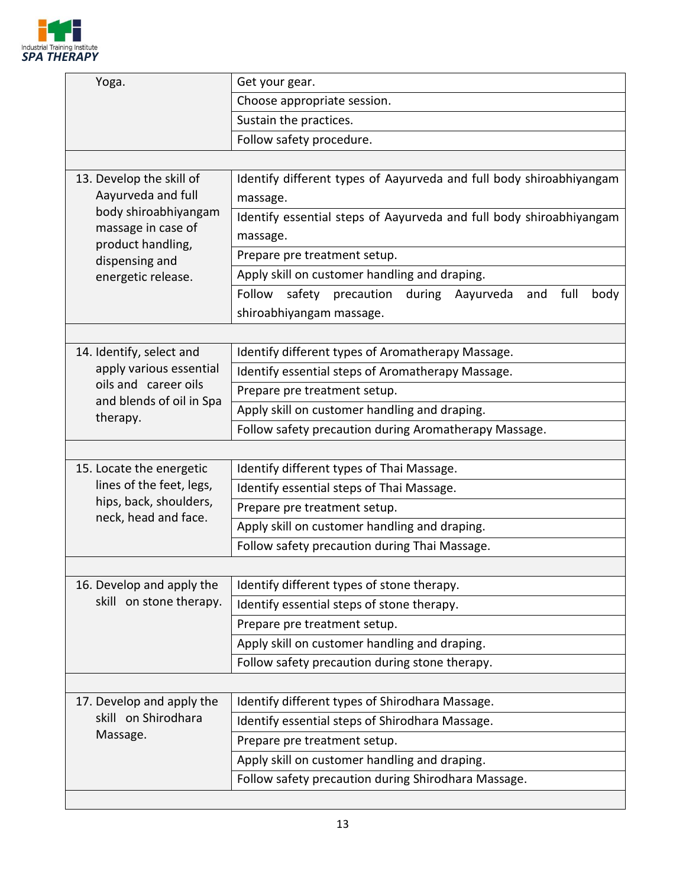

| Yoga.                                                                                           | Get your gear.                                                      |  |  |  |  |  |  |
|-------------------------------------------------------------------------------------------------|---------------------------------------------------------------------|--|--|--|--|--|--|
|                                                                                                 | Choose appropriate session.                                         |  |  |  |  |  |  |
|                                                                                                 | Sustain the practices.                                              |  |  |  |  |  |  |
|                                                                                                 | Follow safety procedure.                                            |  |  |  |  |  |  |
|                                                                                                 |                                                                     |  |  |  |  |  |  |
| 13. Develop the skill of<br>Identify different types of Aayurveda and full body shiroabhiyangam |                                                                     |  |  |  |  |  |  |
| Aayurveda and full                                                                              | massage.                                                            |  |  |  |  |  |  |
| body shiroabhiyangam                                                                            | Identify essential steps of Aayurveda and full body shiroabhiyangam |  |  |  |  |  |  |
| massage in case of<br>product handling,                                                         | massage.                                                            |  |  |  |  |  |  |
| dispensing and                                                                                  | Prepare pre treatment setup.                                        |  |  |  |  |  |  |
| energetic release.                                                                              | Apply skill on customer handling and draping.                       |  |  |  |  |  |  |
|                                                                                                 | Follow safety precaution during Aayurveda and<br>full<br>body       |  |  |  |  |  |  |
|                                                                                                 | shiroabhiyangam massage.                                            |  |  |  |  |  |  |
|                                                                                                 |                                                                     |  |  |  |  |  |  |
| 14. Identify, select and                                                                        | Identify different types of Aromatherapy Massage.                   |  |  |  |  |  |  |
| apply various essential                                                                         | Identify essential steps of Aromatherapy Massage.                   |  |  |  |  |  |  |
| oils and career oils                                                                            | Prepare pre treatment setup.                                        |  |  |  |  |  |  |
| and blends of oil in Spa<br>therapy.                                                            | Apply skill on customer handling and draping.                       |  |  |  |  |  |  |
|                                                                                                 | Follow safety precaution during Aromatherapy Massage.               |  |  |  |  |  |  |
|                                                                                                 |                                                                     |  |  |  |  |  |  |
| 15. Locate the energetic                                                                        | Identify different types of Thai Massage.                           |  |  |  |  |  |  |
| lines of the feet, legs,                                                                        | Identify essential steps of Thai Massage.                           |  |  |  |  |  |  |
| hips, back, shoulders,                                                                          | Prepare pre treatment setup.                                        |  |  |  |  |  |  |
| neck, head and face.                                                                            | Apply skill on customer handling and draping.                       |  |  |  |  |  |  |
|                                                                                                 | Follow safety precaution during Thai Massage.                       |  |  |  |  |  |  |
|                                                                                                 |                                                                     |  |  |  |  |  |  |
| 16. Develop and apply the                                                                       | Identify different types of stone therapy.                          |  |  |  |  |  |  |
| skill on stone therapy.                                                                         | Identify essential steps of stone therapy.                          |  |  |  |  |  |  |
|                                                                                                 | Prepare pre treatment setup.                                        |  |  |  |  |  |  |
|                                                                                                 | Apply skill on customer handling and draping.                       |  |  |  |  |  |  |
|                                                                                                 | Follow safety precaution during stone therapy.                      |  |  |  |  |  |  |
|                                                                                                 |                                                                     |  |  |  |  |  |  |
| 17. Develop and apply the                                                                       | Identify different types of Shirodhara Massage.                     |  |  |  |  |  |  |
| skill on Shirodhara                                                                             | Identify essential steps of Shirodhara Massage.                     |  |  |  |  |  |  |
| Massage.                                                                                        | Prepare pre treatment setup.                                        |  |  |  |  |  |  |
|                                                                                                 | Apply skill on customer handling and draping.                       |  |  |  |  |  |  |
|                                                                                                 | Follow safety precaution during Shirodhara Massage.                 |  |  |  |  |  |  |
|                                                                                                 |                                                                     |  |  |  |  |  |  |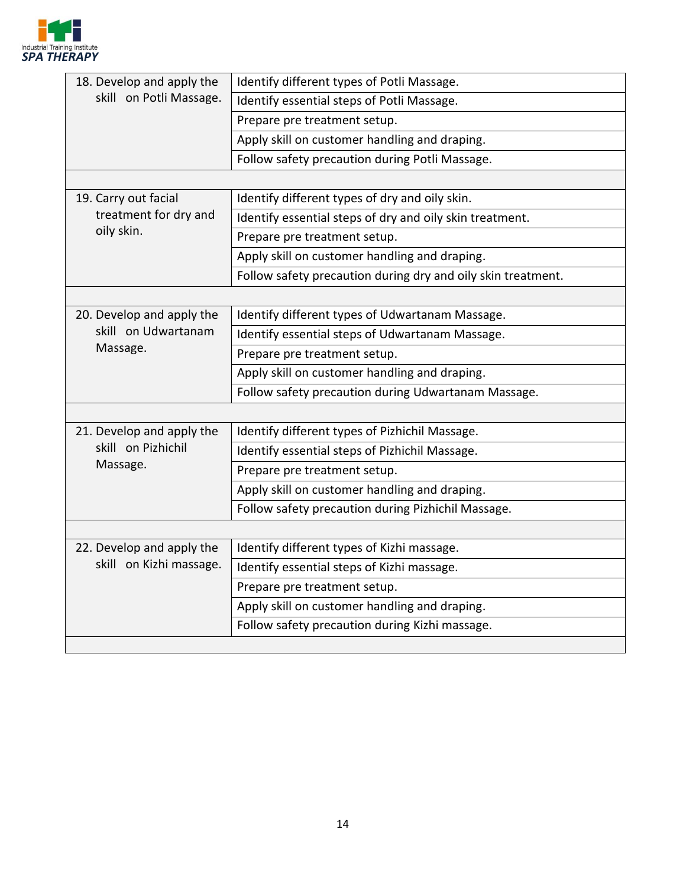

| 18. Develop and apply the | Identify different types of Potli Massage.                   |  |  |  |  |
|---------------------------|--------------------------------------------------------------|--|--|--|--|
| skill on Potli Massage.   | Identify essential steps of Potli Massage.                   |  |  |  |  |
|                           | Prepare pre treatment setup.                                 |  |  |  |  |
|                           | Apply skill on customer handling and draping.                |  |  |  |  |
|                           | Follow safety precaution during Potli Massage.               |  |  |  |  |
|                           |                                                              |  |  |  |  |
| 19. Carry out facial      | Identify different types of dry and oily skin.               |  |  |  |  |
| treatment for dry and     | Identify essential steps of dry and oily skin treatment.     |  |  |  |  |
| oily skin.                | Prepare pre treatment setup.                                 |  |  |  |  |
|                           | Apply skill on customer handling and draping.                |  |  |  |  |
|                           | Follow safety precaution during dry and oily skin treatment. |  |  |  |  |
|                           |                                                              |  |  |  |  |
| 20. Develop and apply the | Identify different types of Udwartanam Massage.              |  |  |  |  |
| skill on Udwartanam       | Identify essential steps of Udwartanam Massage.              |  |  |  |  |
| Massage.                  | Prepare pre treatment setup.                                 |  |  |  |  |
|                           | Apply skill on customer handling and draping.                |  |  |  |  |
|                           | Follow safety precaution during Udwartanam Massage.          |  |  |  |  |
|                           |                                                              |  |  |  |  |
| 21. Develop and apply the | Identify different types of Pizhichil Massage.               |  |  |  |  |
| skill on Pizhichil        | Identify essential steps of Pizhichil Massage.               |  |  |  |  |
| Massage.                  | Prepare pre treatment setup.                                 |  |  |  |  |
|                           | Apply skill on customer handling and draping.                |  |  |  |  |
|                           | Follow safety precaution during Pizhichil Massage.           |  |  |  |  |
|                           |                                                              |  |  |  |  |
| 22. Develop and apply the | Identify different types of Kizhi massage.                   |  |  |  |  |
| skill on Kizhi massage.   | Identify essential steps of Kizhi massage.                   |  |  |  |  |
|                           | Prepare pre treatment setup.                                 |  |  |  |  |
|                           | Apply skill on customer handling and draping.                |  |  |  |  |
|                           | Follow safety precaution during Kizhi massage.               |  |  |  |  |
|                           |                                                              |  |  |  |  |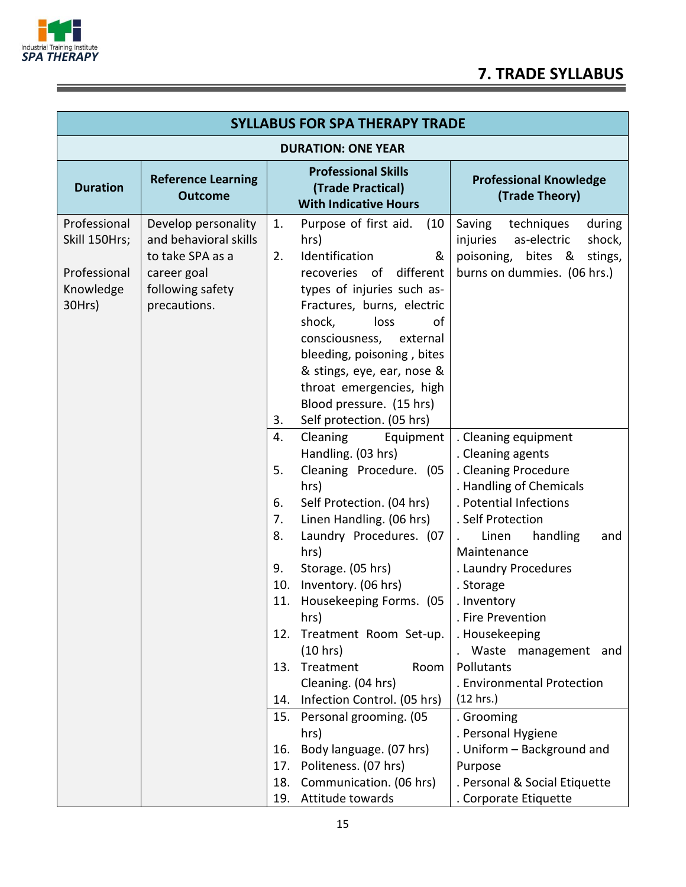

Ξ

| <b>SYLLABUS FOR SPA THERAPY TRADE</b>                                |                                                                                                                     |                                                                     |                                                                                                                                                                                                                                                                                                                                                                           |                                                                                                                                                                                                                                                                                                                                                                    |
|----------------------------------------------------------------------|---------------------------------------------------------------------------------------------------------------------|---------------------------------------------------------------------|---------------------------------------------------------------------------------------------------------------------------------------------------------------------------------------------------------------------------------------------------------------------------------------------------------------------------------------------------------------------------|--------------------------------------------------------------------------------------------------------------------------------------------------------------------------------------------------------------------------------------------------------------------------------------------------------------------------------------------------------------------|
| <b>DURATION: ONE YEAR</b>                                            |                                                                                                                     |                                                                     |                                                                                                                                                                                                                                                                                                                                                                           |                                                                                                                                                                                                                                                                                                                                                                    |
| <b>Duration</b>                                                      | <b>Reference Learning</b><br><b>Outcome</b>                                                                         |                                                                     | <b>Professional Skills</b><br>(Trade Practical)<br><b>With Indicative Hours</b>                                                                                                                                                                                                                                                                                           | <b>Professional Knowledge</b><br>(Trade Theory)                                                                                                                                                                                                                                                                                                                    |
| Professional<br>Skill 150Hrs;<br>Professional<br>Knowledge<br>30Hrs) | Develop personality<br>and behavioral skills<br>to take SPA as a<br>career goal<br>following safety<br>precautions. | 1.<br>2.<br>3.                                                      | Purpose of first aid.<br>(10)<br>hrs)<br>Identification<br>&<br>different<br>recoveries<br>of<br>types of injuries such as-<br>Fractures, burns, electric<br>shock,<br>loss<br>οf<br>consciousness,<br>external<br>bleeding, poisoning, bites<br>& stings, eye, ear, nose &<br>throat emergencies, high<br>Blood pressure. (15 hrs)<br>Self protection. (05 hrs)          | Saving<br>techniques<br>during<br>injuries<br>as-electric<br>shock,<br>poisoning, bites &<br>stings,<br>burns on dummies. (06 hrs.)                                                                                                                                                                                                                                |
|                                                                      |                                                                                                                     | 4.<br>5.<br>6.<br>7.<br>8.<br>9.<br>10.<br>11.<br>12.<br>13.<br>14. | Cleaning<br>Equipment<br>Handling. (03 hrs)<br>Cleaning Procedure. (05<br>hrs)<br>Self Protection. (04 hrs)<br>Linen Handling. (06 hrs)<br>Laundry Procedures. (07<br>hrs)<br>Storage. (05 hrs)<br>Inventory. (06 hrs)<br>Housekeeping Forms. (05<br>hrs)<br>Treatment Room Set-up.<br>(10 hrs)<br>Treatment<br>Room<br>Cleaning. (04 hrs)<br>Infection Control. (05 hrs) | . Cleaning equipment<br>. Cleaning agents<br>. Cleaning Procedure<br>. Handling of Chemicals<br>. Potential Infections<br>. Self Protection<br>handling<br>Linen<br>and<br>Maintenance<br>. Laundry Procedures<br>. Storage<br>. Inventory<br>. Fire Prevention<br>. Housekeeping<br>Waste management and<br>Pollutants<br>. Environmental Protection<br>(12 hrs.) |
|                                                                      |                                                                                                                     | 15.<br>16.<br>17.<br>18.<br>19.                                     | Personal grooming. (05<br>hrs)<br>Body language. (07 hrs)<br>Politeness. (07 hrs)<br>Communication. (06 hrs)<br>Attitude towards                                                                                                                                                                                                                                          | . Grooming<br>. Personal Hygiene<br>. Uniform - Background and<br>Purpose<br>. Personal & Social Etiquette<br>. Corporate Etiquette                                                                                                                                                                                                                                |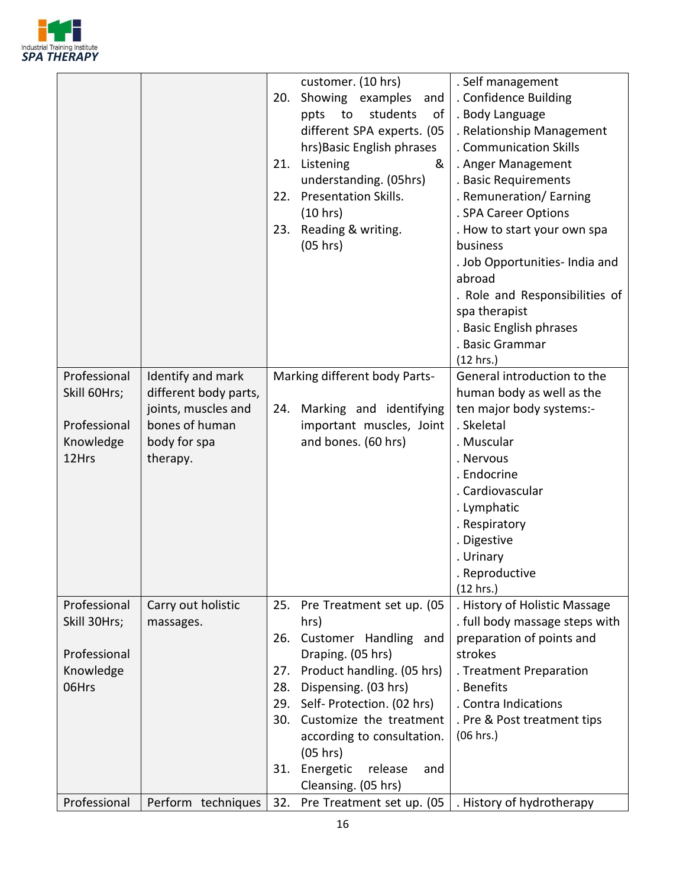

|              |                       | 20. | customer. (10 hrs)<br>Showing examples<br>and | . Self management<br>. Confidence Building |
|--------------|-----------------------|-----|-----------------------------------------------|--------------------------------------------|
|              |                       |     | students<br>to                                |                                            |
|              |                       |     | ppts<br>of                                    | . Body Language                            |
|              |                       |     | different SPA experts. (05                    | . Relationship Management                  |
|              |                       |     | hrs) Basic English phrases                    | . Communication Skills                     |
|              |                       | 21. | Listening<br>&                                | . Anger Management                         |
|              |                       |     | understanding. (05hrs)                        | . Basic Requirements                       |
|              |                       | 22. | <b>Presentation Skills.</b>                   | . Remuneration/ Earning                    |
|              |                       |     | (10 hrs)                                      | . SPA Career Options                       |
|              |                       | 23. | Reading & writing.                            | . How to start your own spa                |
|              |                       |     | (05 hrs)                                      | business                                   |
|              |                       |     |                                               | . Job Opportunities- India and             |
|              |                       |     |                                               | abroad                                     |
|              |                       |     |                                               | . Role and Responsibilities of             |
|              |                       |     |                                               | spa therapist                              |
|              |                       |     |                                               | . Basic English phrases                    |
|              |                       |     |                                               | . Basic Grammar                            |
|              |                       |     |                                               | (12 hrs.)                                  |
| Professional | Identify and mark     |     | Marking different body Parts-                 | General introduction to the                |
| Skill 60Hrs; | different body parts, |     |                                               | human body as well as the                  |
|              | joints, muscles and   | 24. | Marking and identifying                       | ten major body systems:-                   |
| Professional | bones of human        |     | important muscles, Joint                      | . Skeletal                                 |
| Knowledge    | body for spa          |     | and bones. (60 hrs)                           | . Muscular                                 |
| 12Hrs        | therapy.              |     |                                               | . Nervous                                  |
|              |                       |     |                                               | . Endocrine                                |
|              |                       |     |                                               | . Cardiovascular                           |
|              |                       |     |                                               | . Lymphatic                                |
|              |                       |     |                                               | . Respiratory                              |
|              |                       |     |                                               | . Digestive                                |
|              |                       |     |                                               | . Urinary                                  |
|              |                       |     |                                               | . Reproductive                             |
|              |                       |     |                                               | (12 hrs.)                                  |
| Professional | Carry out holistic    | 25. | Pre Treatment set up. (05                     | . History of Holistic Massage              |
| Skill 30Hrs; | massages.             |     | hrs)                                          | . full body massage steps with             |
|              |                       | 26. | Customer Handling and                         | preparation of points and                  |
| Professional |                       |     | Draping. (05 hrs)                             | strokes                                    |
| Knowledge    |                       | 27. | Product handling. (05 hrs)                    | . Treatment Preparation                    |
| 06Hrs        |                       | 28. | Dispensing. (03 hrs)                          | . Benefits                                 |
|              |                       | 29. | Self- Protection. (02 hrs)                    | . Contra Indications                       |
|              |                       | 30. | Customize the treatment                       | . Pre & Post treatment tips                |
|              |                       |     | according to consultation.                    | (06 hrs.)                                  |
|              |                       |     | (05 hrs)                                      |                                            |
|              |                       | 31. | Energetic<br>release<br>and                   |                                            |
|              |                       |     | Cleansing. (05 hrs)                           |                                            |
| Professional | Perform techniques    | 32. | Pre Treatment set up. (05                     | . History of hydrotherapy                  |
|              |                       |     |                                               |                                            |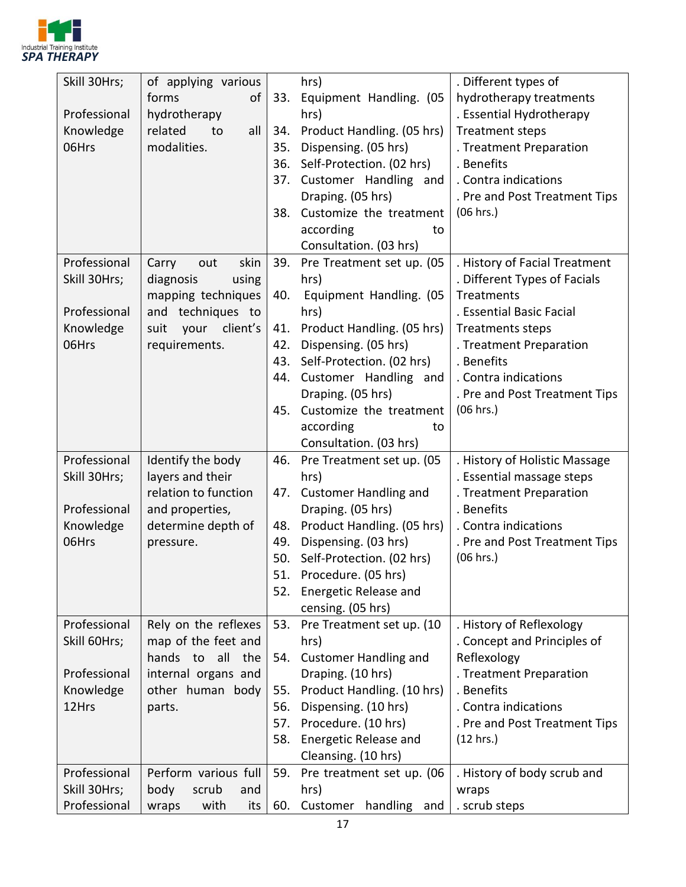

| Skill 30Hrs; | of applying various                           |     | hrs)                                 | . Different types of                                    |
|--------------|-----------------------------------------------|-----|--------------------------------------|---------------------------------------------------------|
|              | forms<br>οf                                   | 33. | Equipment Handling. (05              | hydrotherapy treatments                                 |
| Professional | hydrotherapy                                  |     | hrs)                                 | . Essential Hydrotherapy                                |
| Knowledge    | related<br>all<br>to                          | 34. | Product Handling. (05 hrs)           | <b>Treatment steps</b>                                  |
| 06Hrs        | modalities.                                   | 35. | Dispensing. (05 hrs)                 | . Treatment Preparation                                 |
|              |                                               | 36. | Self-Protection. (02 hrs)            | . Benefits                                              |
|              |                                               | 37. | Customer Handling and                | . Contra indications                                    |
|              |                                               |     | Draping. (05 hrs)                    | . Pre and Post Treatment Tips                           |
|              |                                               | 38. | Customize the treatment              | (06 hrs.)                                               |
|              |                                               |     | according<br>to                      |                                                         |
|              |                                               |     | Consultation. (03 hrs)               |                                                         |
| Professional | skin<br>Carry<br>out                          | 39. | Pre Treatment set up. (05            | . History of Facial Treatment                           |
| Skill 30Hrs; | diagnosis<br>using                            |     | hrs)                                 | . Different Types of Facials                            |
|              | mapping techniques                            | 40. | Equipment Handling. (05              | <b>Treatments</b>                                       |
| Professional | and techniques to                             |     | hrs)                                 | . Essential Basic Facial                                |
| Knowledge    | client's<br>suit<br>your                      | 41. | Product Handling. (05 hrs)           | <b>Treatments steps</b>                                 |
| 06Hrs        | requirements.                                 | 42. | Dispensing. (05 hrs)                 | . Treatment Preparation                                 |
|              |                                               | 43. | Self-Protection. (02 hrs)            | . Benefits                                              |
|              |                                               | 44. | Customer Handling and                | . Contra indications                                    |
|              |                                               |     | Draping. (05 hrs)                    | . Pre and Post Treatment Tips                           |
|              |                                               | 45. | Customize the treatment              | (06 hrs.)                                               |
|              |                                               |     | according<br>to                      |                                                         |
|              |                                               |     | Consultation. (03 hrs)               |                                                         |
| Professional | Identify the body                             | 46. | Pre Treatment set up. (05            | . History of Holistic Massage                           |
| Skill 30Hrs; | layers and their                              |     | hrs)                                 | . Essential massage steps                               |
|              | relation to function                          | 47. | <b>Customer Handling and</b>         | . Treatment Preparation                                 |
| Professional | and properties,                               |     | Draping. (05 hrs)                    | . Benefits                                              |
| Knowledge    | determine depth of                            | 48. | Product Handling. (05 hrs)           | . Contra indications                                    |
| 06Hrs        | pressure.                                     | 49. | Dispensing. (03 hrs)                 | . Pre and Post Treatment Tips                           |
|              |                                               | 50. | Self-Protection. (02 hrs)            | (06 hrs.)                                               |
|              |                                               | 51. | Procedure. (05 hrs)                  |                                                         |
|              |                                               | 52. | Energetic Release and                |                                                         |
|              |                                               |     | censing. (05 hrs)                    |                                                         |
| Professional | Rely on the reflexes                          | 53. | Pre Treatment set up. (10            | . History of Reflexology<br>. Concept and Principles of |
| Skill 60Hrs; | map of the feet and<br>hands to<br>all<br>the | 54. | hrs)<br><b>Customer Handling and</b> | Reflexology                                             |
| Professional | internal organs and                           |     | Draping. (10 hrs)                    | . Treatment Preparation                                 |
| Knowledge    | other human body                              | 55. | Product Handling. (10 hrs)           | . Benefits                                              |
| 12Hrs        | parts.                                        | 56. | Dispensing. (10 hrs)                 | . Contra indications                                    |
|              |                                               | 57. | Procedure. (10 hrs)                  | . Pre and Post Treatment Tips                           |
|              |                                               | 58. | Energetic Release and                | (12 hrs.)                                               |
|              |                                               |     | Cleansing. (10 hrs)                  |                                                         |
| Professional | Perform various full                          | 59. | Pre treatment set up. (06            | . History of body scrub and                             |
| Skill 30Hrs; | body<br>scrub<br>and                          |     | hrs)                                 | wraps                                                   |
| Professional | with<br>wraps<br>its                          | 60. | Customer<br>handling and             | . scrub steps                                           |
|              |                                               |     |                                      |                                                         |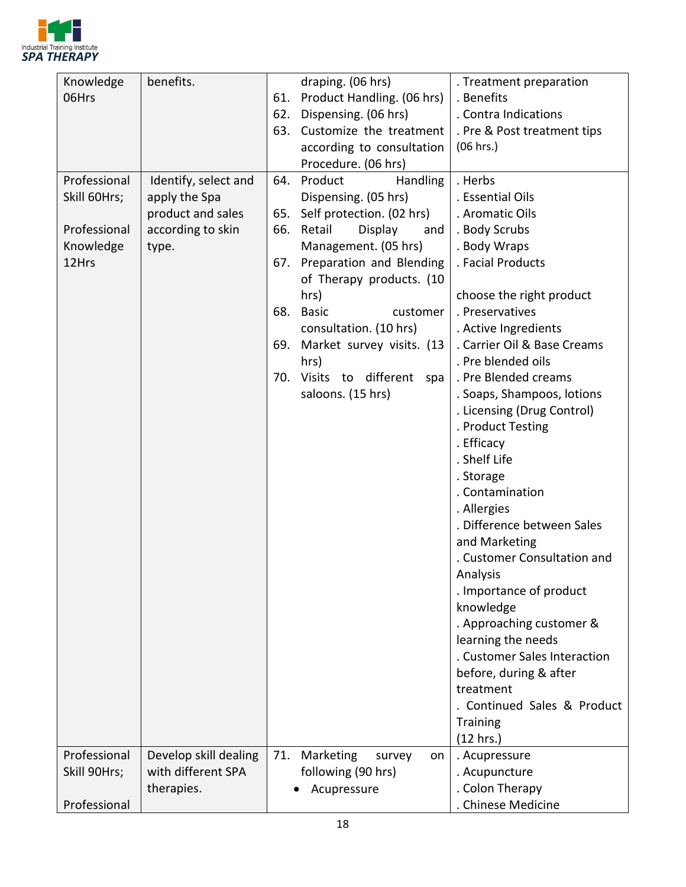

| Knowledge    | benefits.                                   |     | draping. (06 hrs)          | . Treatment preparation      |
|--------------|---------------------------------------------|-----|----------------------------|------------------------------|
| 06Hrs        |                                             | 61. | Product Handling. (06 hrs) | . Benefits                   |
|              |                                             | 62. | Dispensing. (06 hrs)       | . Contra Indications         |
|              |                                             | 63. | Customize the treatment    | . Pre & Post treatment tips  |
|              |                                             |     | according to consultation  | (06 hrs.)                    |
|              |                                             |     | Procedure. (06 hrs)        |                              |
| Professional | Identify, select and                        | 64. | Product<br><b>Handling</b> | . Herbs                      |
| Skill 60Hrs; | apply the Spa                               |     | Dispensing. (05 hrs)       | . Essential Oils             |
|              | product and sales                           | 65. | Self protection. (02 hrs)  | . Aromatic Oils              |
| Professional | according to skin                           | 66. | Retail<br>Display<br>and   | . Body Scrubs                |
| Knowledge    | type.                                       |     | Management. (05 hrs)       | . Body Wraps                 |
| 12Hrs        |                                             | 67. | Preparation and Blending   | . Facial Products            |
|              |                                             |     | of Therapy products. (10   |                              |
|              |                                             |     | hrs)                       | choose the right product     |
|              |                                             | 68. | <b>Basic</b><br>customer   | . Preservatives              |
|              |                                             |     | consultation. (10 hrs)     | . Active Ingredients         |
|              |                                             | 69. | Market survey visits. (13  | . Carrier Oil & Base Creams  |
|              |                                             |     | hrs)                       | . Pre blended oils           |
|              |                                             | 70. | Visits to different<br>spa | . Pre Blended creams         |
|              |                                             |     | saloons. (15 hrs)          | . Soaps, Shampoos, lotions   |
|              |                                             |     |                            | . Licensing (Drug Control)   |
|              |                                             |     |                            | . Product Testing            |
|              |                                             |     |                            | . Efficacy                   |
|              |                                             |     |                            | . Shelf Life                 |
|              |                                             |     |                            | . Storage                    |
|              |                                             |     |                            | . Contamination              |
|              |                                             |     |                            | . Allergies                  |
|              |                                             |     |                            | . Difference between Sales   |
|              |                                             |     |                            | and Marketing                |
|              |                                             |     |                            | . Customer Consultation and  |
|              |                                             |     |                            | Analysis                     |
|              |                                             |     |                            | . Importance of product      |
|              |                                             |     |                            | knowledge                    |
|              |                                             |     |                            | . Approaching customer &     |
|              |                                             |     |                            | learning the needs           |
|              |                                             |     |                            | . Customer Sales Interaction |
|              |                                             |     |                            | before, during & after       |
|              |                                             |     |                            | treatment                    |
|              |                                             |     |                            | . Continued Sales & Product  |
|              |                                             |     |                            | <b>Training</b>              |
|              |                                             |     |                            | (12 hrs.)                    |
| Professional | Develop skill dealing<br>with different SPA | 71. | Marketing<br>survey<br>on  | . Acupressure                |
| Skill 90Hrs; |                                             |     | following (90 hrs)         | . Acupuncture                |
| Professional | therapies.                                  |     | Acupressure                | . Colon Therapy              |
|              |                                             |     |                            | . Chinese Medicine           |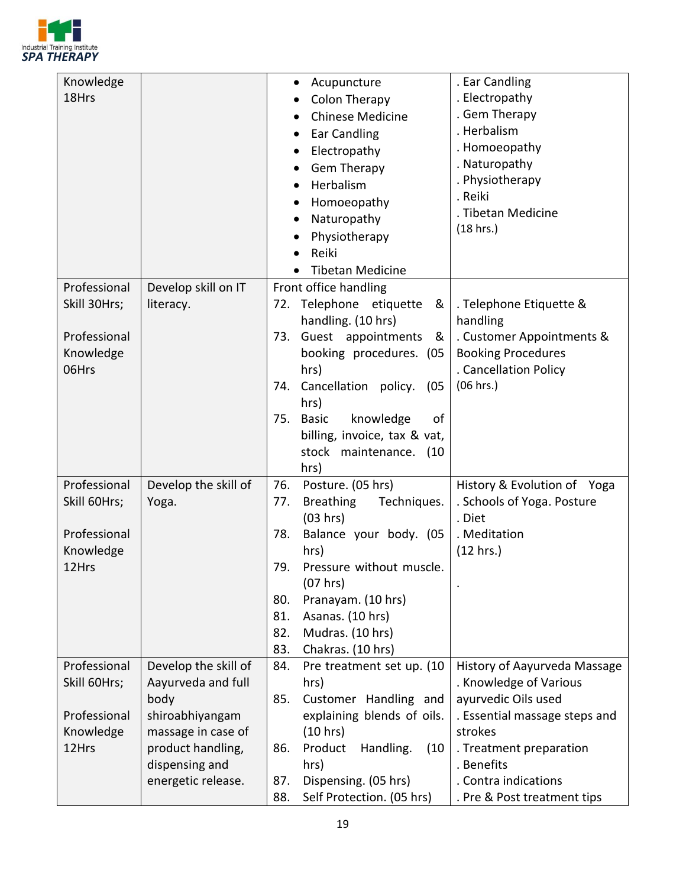

| Knowledge    |                      | Acupuncture<br>٠                       | . Ear Candling                |
|--------------|----------------------|----------------------------------------|-------------------------------|
| 18Hrs        |                      | Colon Therapy                          | . Electropathy                |
|              |                      | <b>Chinese Medicine</b>                | . Gem Therapy                 |
|              |                      | Ear Candling                           | . Herbalism                   |
|              |                      | Electropathy                           | . Homoeopathy                 |
|              |                      |                                        | . Naturopathy                 |
|              |                      | <b>Gem Therapy</b><br>$\bullet$        | . Physiotherapy               |
|              |                      | Herbalism                              | . Reiki                       |
|              |                      | Homoeopathy                            | . Tibetan Medicine            |
|              |                      | Naturopathy                            | (18 hrs.)                     |
|              |                      | Physiotherapy                          |                               |
|              |                      | Reiki                                  |                               |
|              |                      | <b>Tibetan Medicine</b>                |                               |
| Professional | Develop skill on IT  | Front office handling                  |                               |
| Skill 30Hrs; | literacy.            | 72. Telephone etiquette<br>&           | . Telephone Etiquette &       |
|              |                      | handling. (10 hrs)                     | handling                      |
| Professional |                      | Guest appointments<br>73.<br>- &       | . Customer Appointments &     |
| Knowledge    |                      | booking procedures. (05                | <b>Booking Procedures</b>     |
| 06Hrs        |                      | hrs)                                   | . Cancellation Policy         |
|              |                      | Cancellation policy.<br>74.<br>(05     | (06 hrs.)                     |
|              |                      | hrs)                                   |                               |
|              |                      | knowledge<br><b>Basic</b><br>75.<br>of |                               |
|              |                      | billing, invoice, tax & vat,           |                               |
|              |                      | stock maintenance. (10                 |                               |
|              |                      | hrs)                                   |                               |
| Professional | Develop the skill of | 76.<br>Posture. (05 hrs)               | History & Evolution of Yoga   |
| Skill 60Hrs; | Yoga.                | <b>Breathing</b><br>Techniques.<br>77. | . Schools of Yoga. Posture    |
|              |                      | (03 hrs)                               | . Diet                        |
| Professional |                      | Balance your body. (05<br>78.          | . Meditation                  |
| Knowledge    |                      | hrs)                                   | (12 hrs.)                     |
| 12Hrs        |                      | Pressure without muscle.<br>79.        |                               |
|              |                      | (07 hrs)                               |                               |
|              |                      | Pranayam. (10 hrs)<br>80.              |                               |
|              |                      | 81.<br>Asanas. (10 hrs)                |                               |
|              |                      | 82.<br>Mudras. (10 hrs)                |                               |
|              |                      | 83.<br>Chakras. (10 hrs)               |                               |
| Professional | Develop the skill of | 84.<br>Pre treatment set up. (10)      | History of Aayurveda Massage  |
| Skill 60Hrs; | Aayurveda and full   | hrs)                                   | . Knowledge of Various        |
|              | body                 | 85.<br>Customer Handling and           | ayurvedic Oils used           |
| Professional | shiroabhiyangam      | explaining blends of oils.             | . Essential massage steps and |
| Knowledge    | massage in case of   | (10 hrs)                               | strokes                       |
| 12Hrs        | product handling,    | Product<br>Handling.<br>(10)<br>86.    | . Treatment preparation       |
|              | dispensing and       | hrs)                                   | . Benefits                    |
|              | energetic release.   | Dispensing. (05 hrs)<br>87.            | . Contra indications          |
|              |                      | Self Protection. (05 hrs)<br>88.       | . Pre & Post treatment tips   |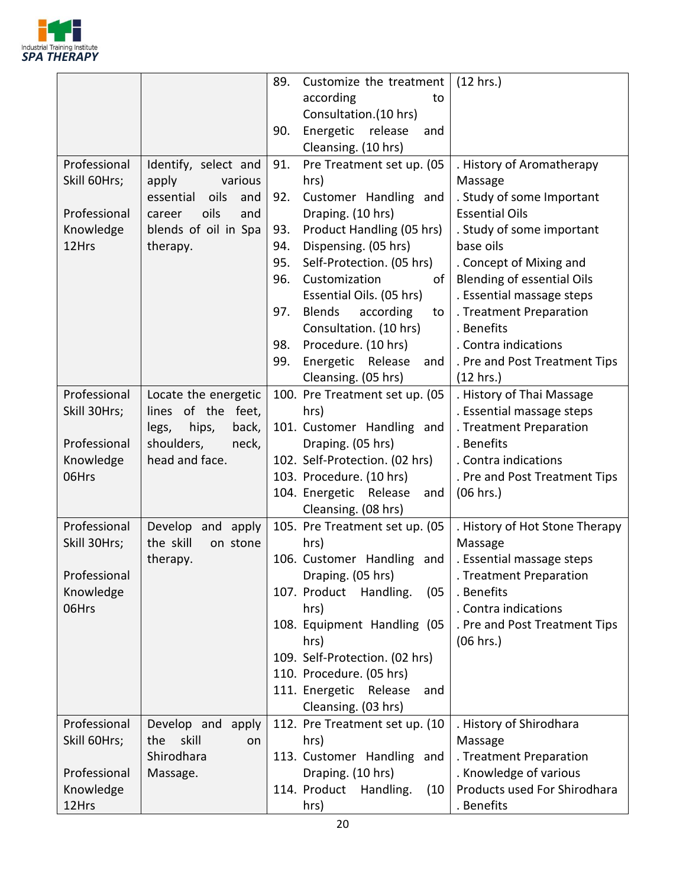

|              |                                            | 89. | Customize the treatment                | (12 hrs.)                                 |
|--------------|--------------------------------------------|-----|----------------------------------------|-------------------------------------------|
|              |                                            |     | according<br>to                        |                                           |
|              |                                            |     | Consultation.(10 hrs)                  |                                           |
|              |                                            | 90. | Energetic<br>release<br>and            |                                           |
|              |                                            |     | Cleansing. (10 hrs)                    |                                           |
| Professional | Identify, select and                       | 91. | Pre Treatment set up. (05              | . History of Aromatherapy                 |
| Skill 60Hrs; | apply<br>various                           |     | hrs)                                   | Massage                                   |
|              | essential<br>oils<br>and                   | 92. | Customer Handling and                  | . Study of some Important                 |
| Professional | oils<br>and<br>career                      |     | Draping. (10 hrs)                      | <b>Essential Oils</b>                     |
| Knowledge    | blends of oil in Spa                       | 93. | Product Handling (05 hrs)              | . Study of some important                 |
| 12Hrs        | therapy.                                   | 94. | Dispensing. (05 hrs)                   | base oils                                 |
|              |                                            | 95. | Self-Protection. (05 hrs)              | . Concept of Mixing and                   |
|              |                                            | 96. | Customization<br>of                    | <b>Blending of essential Oils</b>         |
|              |                                            |     | Essential Oils. (05 hrs)               | . Essential massage steps                 |
|              |                                            | 97. | <b>Blends</b><br>according<br>to       | . Treatment Preparation                   |
|              |                                            |     | Consultation. (10 hrs)                 | . Benefits                                |
|              |                                            | 98. | Procedure. (10 hrs)                    | . Contra indications                      |
|              |                                            | 99. | Energetic<br>Release<br>and            | . Pre and Post Treatment Tips             |
|              |                                            |     | Cleansing. (05 hrs)                    | (12 hrs.)                                 |
| Professional | Locate the energetic                       |     | 100. Pre Treatment set up. (05         | . History of Thai Massage                 |
| Skill 30Hrs; | lines of the feet,                         |     | hrs)                                   | . Essential massage steps                 |
|              | hips,<br>back,<br>legs,                    |     | 101. Customer Handling and             | . Treatment Preparation                   |
| Professional | shoulders,<br>neck,                        |     | Draping. (05 hrs)                      | . Benefits                                |
| Knowledge    | head and face.                             |     | 102. Self-Protection. (02 hrs)         | . Contra indications                      |
| 06Hrs        |                                            |     | 103. Procedure. (10 hrs)               | . Pre and Post Treatment Tips             |
|              |                                            |     | 104. Energetic Release<br>and          | (06 hrs.)                                 |
| Professional |                                            |     | Cleansing. (08 hrs)                    |                                           |
| Skill 30Hrs; | Develop and apply<br>the skill<br>on stone |     | 105. Pre Treatment set up. (05<br>hrs) | . History of Hot Stone Therapy<br>Massage |
|              | therapy.                                   |     | 106. Customer Handling and             | . Essential massage steps                 |
| Professional |                                            |     | Draping. (05 hrs)                      | . Treatment Preparation                   |
| Knowledge    |                                            |     | 107. Product<br>Handling.<br>(05)      | . Benefits                                |
| 06Hrs        |                                            |     | hrs)                                   | . Contra indications                      |
|              |                                            |     | 108. Equipment Handling (05            | . Pre and Post Treatment Tips             |
|              |                                            |     | hrs)                                   | (06 hrs.)                                 |
|              |                                            |     | 109. Self-Protection. (02 hrs)         |                                           |
|              |                                            |     | 110. Procedure. (05 hrs)               |                                           |
|              |                                            |     | 111. Energetic<br>Release<br>and       |                                           |
|              |                                            |     | Cleansing. (03 hrs)                    |                                           |
| Professional | Develop and<br>apply                       |     | 112. Pre Treatment set up. (10         | . History of Shirodhara                   |
| Skill 60Hrs; | skill<br>the<br>on.                        |     | hrs)                                   | Massage                                   |
|              | Shirodhara                                 |     | 113. Customer Handling and             | . Treatment Preparation                   |
| Professional | Massage.                                   |     | Draping. (10 hrs)                      | . Knowledge of various                    |
| Knowledge    |                                            |     | 114. Product<br>Handling.<br>(10)      | Products used For Shirodhara              |
| 12Hrs        |                                            |     | hrs)                                   | . Benefits                                |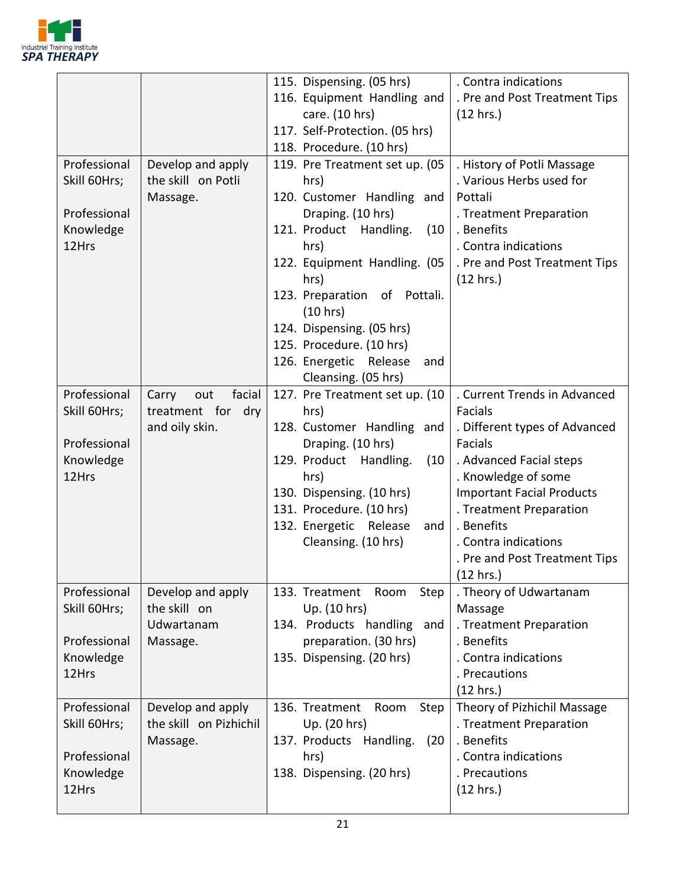

|                                                                    |                                                               | 115. Dispensing. (05 hrs)<br>116. Equipment Handling and<br>care. (10 hrs)<br>117. Self-Protection. (05 hrs)<br>118. Procedure. (10 hrs)                                                                                                                                                                          | . Contra indications<br>. Pre and Post Treatment Tips<br>(12 hrs.)                                                                                                                                                                                                                              |
|--------------------------------------------------------------------|---------------------------------------------------------------|-------------------------------------------------------------------------------------------------------------------------------------------------------------------------------------------------------------------------------------------------------------------------------------------------------------------|-------------------------------------------------------------------------------------------------------------------------------------------------------------------------------------------------------------------------------------------------------------------------------------------------|
| Professional<br>Skill 60Hrs;<br>Professional<br>Knowledge<br>12Hrs | Develop and apply<br>the skill on Potli<br>Massage.           | 119. Pre Treatment set up. (05<br>hrs)<br>120. Customer Handling and<br>Draping. (10 hrs)<br>121. Product Handling.<br>(10)<br>hrs)<br>122. Equipment Handling. (05<br>hrs)<br>123. Preparation of Pottali.<br>(10 hrs)<br>124. Dispensing. (05 hrs)<br>125. Procedure. (10 hrs)<br>126. Energetic Release<br>and | . History of Potli Massage<br>. Various Herbs used for<br>Pottali<br>. Treatment Preparation<br>. Benefits<br>. Contra indications<br>. Pre and Post Treatment Tips<br>(12 hrs.)                                                                                                                |
| Professional<br>Skill 60Hrs;<br>Professional<br>Knowledge<br>12Hrs | facial<br>Carry<br>out<br>treatment for dry<br>and oily skin. | Cleansing. (05 hrs)<br>127. Pre Treatment set up. (10<br>hrs)<br>128. Customer Handling and<br>Draping. (10 hrs)<br>129. Product<br>Handling.<br>(10)<br>hrs)<br>130. Dispensing. (10 hrs)<br>131. Procedure. (10 hrs)<br>132. Energetic Release<br>and<br>Cleansing. (10 hrs)                                    | . Current Trends in Advanced<br>Facials<br>. Different types of Advanced<br><b>Facials</b><br>. Advanced Facial steps<br>. Knowledge of some<br><b>Important Facial Products</b><br>. Treatment Preparation<br>. Benefits<br>. Contra indications<br>. Pre and Post Treatment Tips<br>(12 hrs.) |
| Professional<br>Skill 60Hrs;<br>Professional<br>Knowledge<br>12Hrs | Develop and apply<br>the skill on<br>Udwartanam<br>Massage.   | Step<br>133. Treatment<br>Room<br>Up. (10 hrs)<br>134. Products handling and<br>preparation. (30 hrs)<br>135. Dispensing. (20 hrs)                                                                                                                                                                                | . Theory of Udwartanam<br>Massage<br>. Treatment Preparation<br>. Benefits<br>. Contra indications<br>. Precautions<br>(12 hrs.)                                                                                                                                                                |
| Professional<br>Skill 60Hrs;<br>Professional<br>Knowledge<br>12Hrs | Develop and apply<br>the skill on Pizhichil<br>Massage.       | 136. Treatment<br>Room<br>Step<br>Up. (20 hrs)<br>137. Products Handling.<br>(20)<br>hrs)<br>138. Dispensing. (20 hrs)                                                                                                                                                                                            | Theory of Pizhichil Massage<br>. Treatment Preparation<br>. Benefits<br>. Contra indications<br>. Precautions<br>(12 hrs.)                                                                                                                                                                      |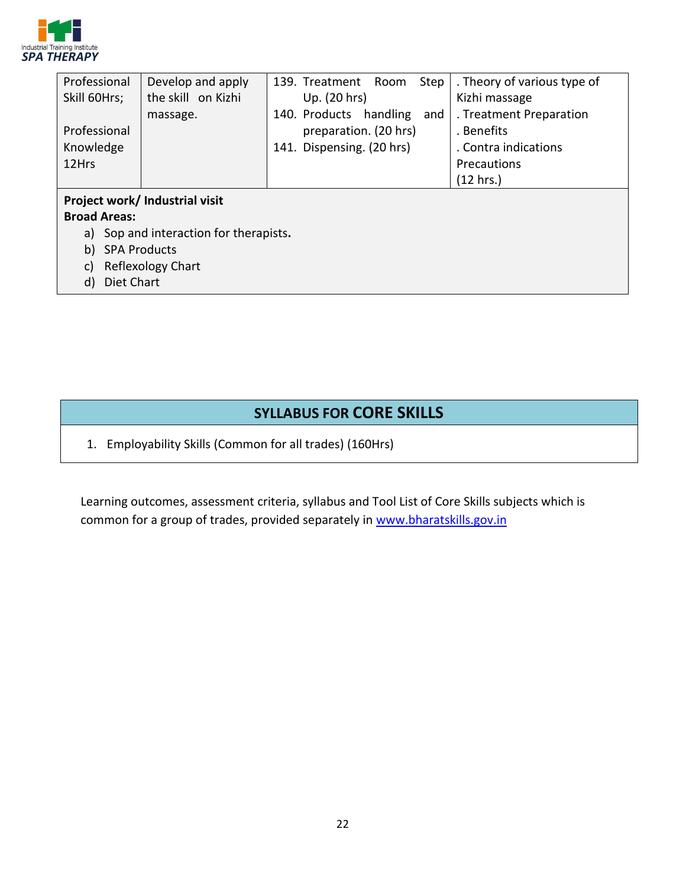

| Professional                              | Develop and apply  | Step<br>139. Treatment<br>Room   | . Theory of various type of |  |  |
|-------------------------------------------|--------------------|----------------------------------|-----------------------------|--|--|
| Skill 60Hrs;                              | the skill on Kizhi | Up. (20 hrs)                     | Kizhi massage               |  |  |
|                                           | massage.           | 140. Products<br>handling<br>and | . Treatment Preparation     |  |  |
| Professional                              |                    | preparation. (20 hrs)            | . Benefits                  |  |  |
| Knowledge                                 |                    | 141. Dispensing. (20 hrs)        | . Contra indications        |  |  |
| 12Hrs                                     |                    |                                  | Precautions                 |  |  |
|                                           |                    |                                  | (12 hrs.)                   |  |  |
| Project work/ Industrial visit            |                    |                                  |                             |  |  |
| <b>Broad Areas:</b>                       |                    |                                  |                             |  |  |
| Sop and interaction for therapists.<br>a) |                    |                                  |                             |  |  |

- b) SPA Products
- c) Reflexology Chart
- d) Diet Chart

#### **SYLLABUS FOR CORE SKILLS**

1. Employability Skills (Common for all trades) (160Hrs)

Learning outcomes, assessment criteria, syllabus and Tool List of Core Skills subjects which is common for a group of trades, provided separately in [www.bharatskills.gov.in](http://www.bharatskills.gov.in/)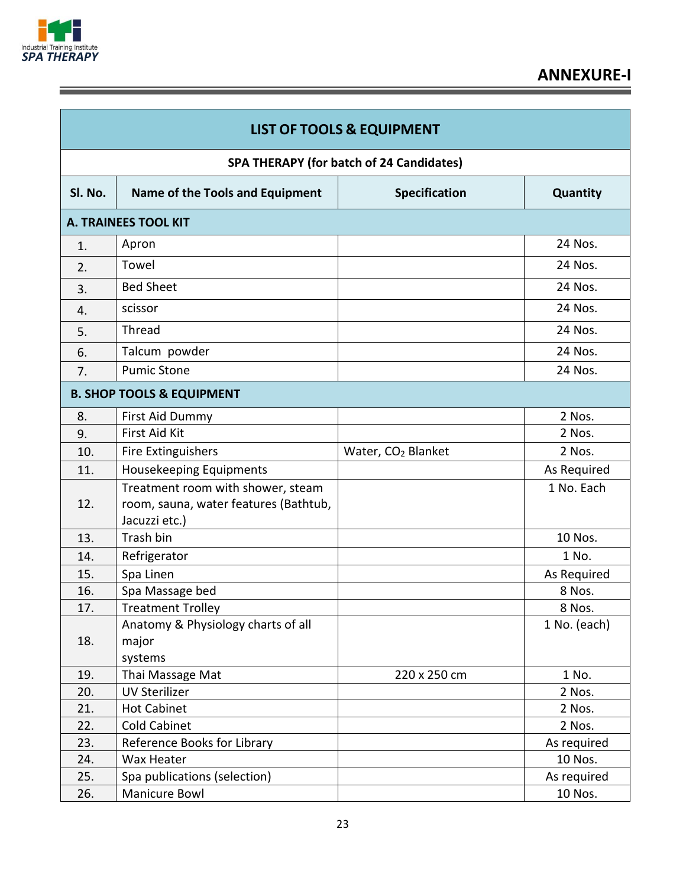

Ξ

| <b>LIST OF TOOLS &amp; EQUIPMENT</b> |                                                                                             |                                |              |  |  |  |
|--------------------------------------|---------------------------------------------------------------------------------------------|--------------------------------|--------------|--|--|--|
|                                      | SPA THERAPY (for batch of 24 Candidates)                                                    |                                |              |  |  |  |
| SI. No.                              | Name of the Tools and Equipment                                                             | <b>Specification</b>           | Quantity     |  |  |  |
|                                      | <b>A. TRAINEES TOOL KIT</b>                                                                 |                                |              |  |  |  |
| 1.                                   | Apron                                                                                       |                                | 24 Nos.      |  |  |  |
| 2.                                   | Towel                                                                                       |                                | 24 Nos.      |  |  |  |
| 3.                                   | <b>Bed Sheet</b>                                                                            |                                | 24 Nos.      |  |  |  |
| 4.                                   | scissor                                                                                     |                                | 24 Nos.      |  |  |  |
| 5.                                   | Thread                                                                                      |                                | 24 Nos.      |  |  |  |
| 6.                                   | Talcum powder                                                                               |                                | 24 Nos.      |  |  |  |
| 7.                                   | <b>Pumic Stone</b>                                                                          |                                | 24 Nos.      |  |  |  |
|                                      | <b>B. SHOP TOOLS &amp; EQUIPMENT</b>                                                        |                                |              |  |  |  |
| 8.                                   | First Aid Dummy                                                                             |                                | 2 Nos.       |  |  |  |
| 9.                                   | First Aid Kit                                                                               |                                | 2 Nos.       |  |  |  |
| 10.                                  | Fire Extinguishers                                                                          | Water, CO <sub>2</sub> Blanket | 2 Nos.       |  |  |  |
| 11.                                  | Housekeeping Equipments                                                                     |                                | As Required  |  |  |  |
| 12.                                  | Treatment room with shower, steam<br>room, sauna, water features (Bathtub,<br>Jacuzzi etc.) |                                | 1 No. Each   |  |  |  |
| 13.                                  | Trash bin                                                                                   |                                | 10 Nos.      |  |  |  |
| 14.                                  | Refrigerator                                                                                |                                | 1 No.        |  |  |  |
| 15.                                  | Spa Linen                                                                                   |                                | As Required  |  |  |  |
| 16.                                  | Spa Massage bed                                                                             |                                | 8 Nos.       |  |  |  |
| 17.                                  | <b>Treatment Trolley</b>                                                                    |                                | 8 Nos.       |  |  |  |
| 18.                                  | Anatomy & Physiology charts of all<br>major<br>systems                                      |                                | 1 No. (each) |  |  |  |
| 19.                                  | Thai Massage Mat                                                                            | 220 x 250 cm                   | 1 No.        |  |  |  |
| 20.                                  | <b>UV Sterilizer</b>                                                                        |                                | 2 Nos.       |  |  |  |
| 21.                                  | <b>Hot Cabinet</b>                                                                          |                                | 2 Nos.       |  |  |  |
| 22.                                  | <b>Cold Cabinet</b>                                                                         |                                | 2 Nos.       |  |  |  |
| 23.                                  | Reference Books for Library                                                                 |                                | As required  |  |  |  |
| 24.                                  | Wax Heater                                                                                  |                                | 10 Nos.      |  |  |  |
| 25.                                  | Spa publications (selection)                                                                |                                | As required  |  |  |  |
| 26.                                  | Manicure Bowl                                                                               |                                | 10 Nos.      |  |  |  |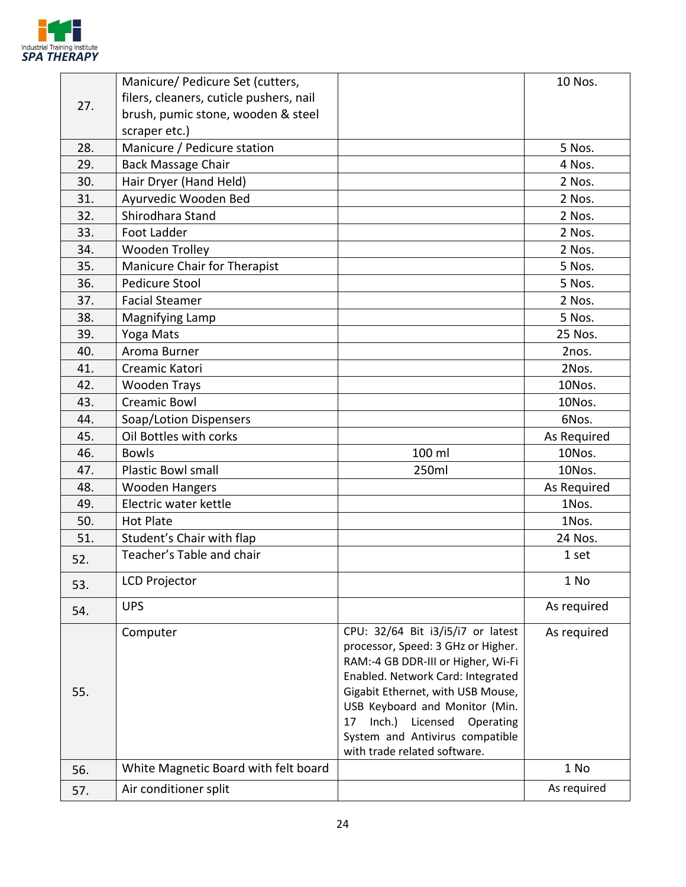

|     | Manicure/ Pedicure Set (cutters,        |                                                                                                                                                                                                                                                                                                                                    | 10 Nos.     |
|-----|-----------------------------------------|------------------------------------------------------------------------------------------------------------------------------------------------------------------------------------------------------------------------------------------------------------------------------------------------------------------------------------|-------------|
|     | filers, cleaners, cuticle pushers, nail |                                                                                                                                                                                                                                                                                                                                    |             |
| 27. | brush, pumic stone, wooden & steel      |                                                                                                                                                                                                                                                                                                                                    |             |
|     | scraper etc.)                           |                                                                                                                                                                                                                                                                                                                                    |             |
| 28. | Manicure / Pedicure station             |                                                                                                                                                                                                                                                                                                                                    | 5 Nos.      |
| 29. | <b>Back Massage Chair</b>               |                                                                                                                                                                                                                                                                                                                                    | 4 Nos.      |
| 30. | Hair Dryer (Hand Held)                  |                                                                                                                                                                                                                                                                                                                                    | 2 Nos.      |
| 31. | Ayurvedic Wooden Bed                    |                                                                                                                                                                                                                                                                                                                                    | 2 Nos.      |
| 32. | Shirodhara Stand                        |                                                                                                                                                                                                                                                                                                                                    | 2 Nos.      |
| 33. | <b>Foot Ladder</b>                      |                                                                                                                                                                                                                                                                                                                                    | 2 Nos.      |
| 34. | Wooden Trolley                          |                                                                                                                                                                                                                                                                                                                                    | 2 Nos.      |
| 35. | Manicure Chair for Therapist            |                                                                                                                                                                                                                                                                                                                                    | 5 Nos.      |
| 36. | Pedicure Stool                          |                                                                                                                                                                                                                                                                                                                                    | 5 Nos.      |
| 37. | <b>Facial Steamer</b>                   |                                                                                                                                                                                                                                                                                                                                    | 2 Nos.      |
| 38. | <b>Magnifying Lamp</b>                  |                                                                                                                                                                                                                                                                                                                                    | 5 Nos.      |
| 39. | Yoga Mats                               |                                                                                                                                                                                                                                                                                                                                    | 25 Nos.     |
| 40. | Aroma Burner                            |                                                                                                                                                                                                                                                                                                                                    | 2nos.       |
| 41. | Creamic Katori                          |                                                                                                                                                                                                                                                                                                                                    | 2Nos.       |
| 42. | <b>Wooden Trays</b>                     |                                                                                                                                                                                                                                                                                                                                    | 10Nos.      |
| 43. | <b>Creamic Bowl</b>                     |                                                                                                                                                                                                                                                                                                                                    | 10Nos.      |
| 44. | Soap/Lotion Dispensers                  |                                                                                                                                                                                                                                                                                                                                    | 6Nos.       |
| 45. | Oil Bottles with corks                  |                                                                                                                                                                                                                                                                                                                                    | As Required |
| 46. | <b>Bowls</b>                            | 100 ml                                                                                                                                                                                                                                                                                                                             | 10Nos.      |
| 47. | Plastic Bowl small                      | 250ml                                                                                                                                                                                                                                                                                                                              | 10Nos.      |
| 48. | <b>Wooden Hangers</b>                   |                                                                                                                                                                                                                                                                                                                                    | As Required |
| 49. | Electric water kettle                   |                                                                                                                                                                                                                                                                                                                                    | 1Nos.       |
| 50. | <b>Hot Plate</b>                        |                                                                                                                                                                                                                                                                                                                                    | 1Nos.       |
| 51. | Student's Chair with flap               |                                                                                                                                                                                                                                                                                                                                    | 24 Nos.     |
| 52. | Teacher's Table and chair               |                                                                                                                                                                                                                                                                                                                                    | 1 set       |
| 53. | <b>LCD Projector</b>                    |                                                                                                                                                                                                                                                                                                                                    | 1 No        |
| 54. | <b>UPS</b>                              |                                                                                                                                                                                                                                                                                                                                    | As required |
| 55. | Computer                                | CPU: 32/64 Bit i3/i5/i7 or latest<br>processor, Speed: 3 GHz or Higher.<br>RAM:-4 GB DDR-III or Higher, Wi-Fi<br>Enabled. Network Card: Integrated<br>Gigabit Ethernet, with USB Mouse,<br>USB Keyboard and Monitor (Min.<br>Inch.) Licensed<br>Operating<br>17<br>System and Antivirus compatible<br>with trade related software. | As required |
| 56. | White Magnetic Board with felt board    |                                                                                                                                                                                                                                                                                                                                    | 1 No        |
|     | Air conditioner split                   |                                                                                                                                                                                                                                                                                                                                    | As required |
| 57. |                                         |                                                                                                                                                                                                                                                                                                                                    |             |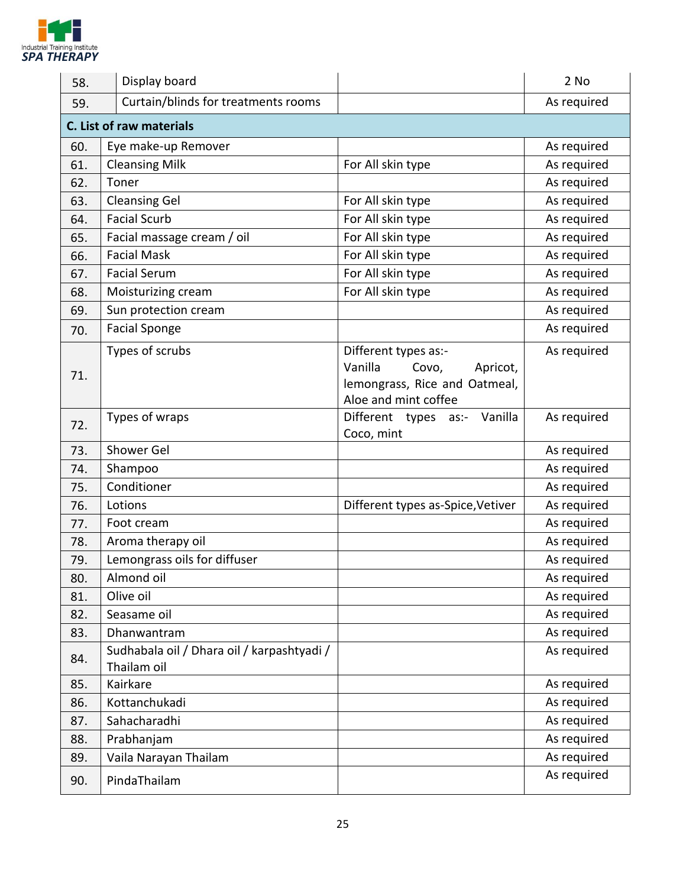

| 58. | Display board                                             |                                                                                                               | 2 No        |
|-----|-----------------------------------------------------------|---------------------------------------------------------------------------------------------------------------|-------------|
| 59. | Curtain/blinds for treatments rooms                       |                                                                                                               | As required |
|     | C. List of raw materials                                  |                                                                                                               |             |
| 60. | Eye make-up Remover                                       |                                                                                                               | As required |
| 61. | <b>Cleansing Milk</b>                                     | For All skin type                                                                                             | As required |
| 62. | Toner                                                     |                                                                                                               | As required |
| 63. | <b>Cleansing Gel</b>                                      | For All skin type                                                                                             | As required |
| 64. | <b>Facial Scurb</b>                                       | For All skin type                                                                                             | As required |
| 65. | Facial massage cream / oil                                | For All skin type                                                                                             | As required |
| 66. | <b>Facial Mask</b>                                        | For All skin type                                                                                             | As required |
| 67. | <b>Facial Serum</b>                                       | For All skin type                                                                                             | As required |
| 68. | Moisturizing cream                                        | For All skin type                                                                                             | As required |
| 69. | Sun protection cream                                      |                                                                                                               | As required |
| 70. | <b>Facial Sponge</b>                                      |                                                                                                               | As required |
| 71. | Types of scrubs                                           | Different types as:-<br>Vanilla<br>Covo,<br>Apricot,<br>lemongrass, Rice and Oatmeal,<br>Aloe and mint coffee | As required |
| 72. | Types of wraps                                            | Vanilla<br>Different types as:-<br>Coco, mint                                                                 | As required |
| 73. | Shower Gel                                                |                                                                                                               | As required |
| 74. | Shampoo                                                   |                                                                                                               | As required |
| 75. | Conditioner                                               |                                                                                                               | As required |
| 76. | Lotions                                                   | Different types as-Spice, Vetiver                                                                             | As required |
| 77. | Foot cream                                                |                                                                                                               | As required |
| 78. | Aroma therapy oil                                         |                                                                                                               | As required |
| 79. | Lemongrass oils for diffuser                              |                                                                                                               | As required |
| 80. | Almond oil                                                |                                                                                                               | As required |
| 81. | Olive oil                                                 |                                                                                                               | As required |
| 82. | Seasame oil                                               |                                                                                                               | As required |
| 83. | Dhanwantram                                               |                                                                                                               | As required |
| 84. | Sudhabala oil / Dhara oil / karpashtyadi /<br>Thailam oil |                                                                                                               | As required |
| 85. | Kairkare                                                  |                                                                                                               | As required |
| 86. | Kottanchukadi                                             |                                                                                                               | As required |
| 87. | Sahacharadhi                                              |                                                                                                               | As required |
| 88. | Prabhanjam                                                |                                                                                                               | As required |
| 89. | Vaila Narayan Thailam                                     |                                                                                                               | As required |
| 90. | PindaThailam                                              |                                                                                                               | As required |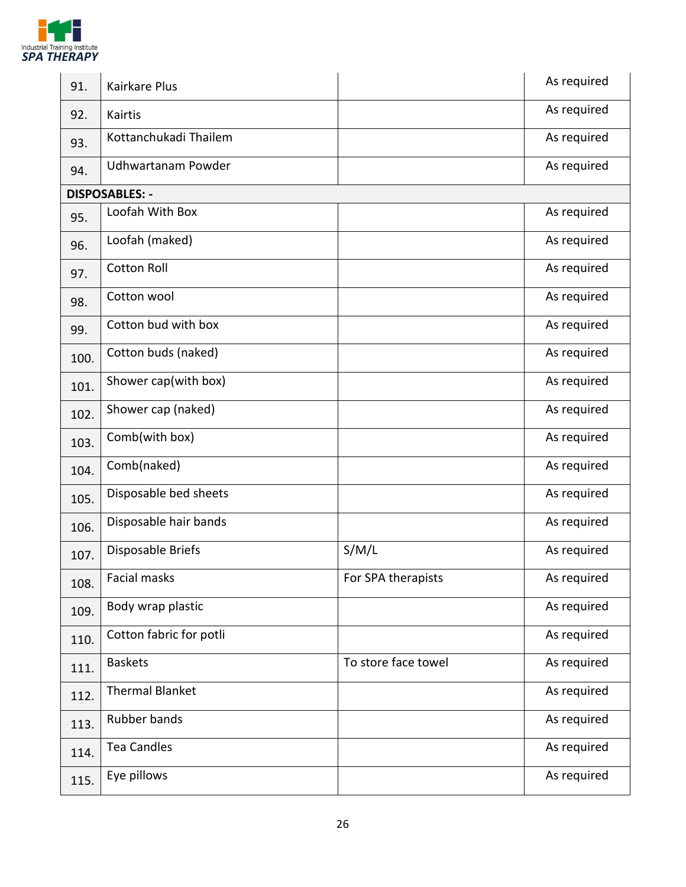

| 91.  | <b>Kairkare Plus</b>    |                     | As required |
|------|-------------------------|---------------------|-------------|
| 92.  | Kairtis                 |                     | As required |
| 93.  | Kottanchukadi Thailem   |                     | As required |
| 94.  | Udhwartanam Powder      |                     | As required |
|      | <b>DISPOSABLES: -</b>   |                     |             |
| 95.  | Loofah With Box         |                     | As required |
| 96.  | Loofah (maked)          |                     | As required |
| 97.  | <b>Cotton Roll</b>      |                     | As required |
| 98.  | Cotton wool             |                     | As required |
| 99.  | Cotton bud with box     |                     | As required |
| 100. | Cotton buds (naked)     |                     | As required |
| 101. | Shower cap(with box)    |                     | As required |
| 102. | Shower cap (naked)      |                     | As required |
| 103. | Comb(with box)          |                     | As required |
| 104. | Comb(naked)             |                     | As required |
| 105. | Disposable bed sheets   |                     | As required |
| 106. | Disposable hair bands   |                     | As required |
| 107. | Disposable Briefs       | S/M/L               | As required |
| 108. | Facial masks            | For SPA therapists  | As required |
| 109. | Body wrap plastic       |                     | As required |
| 110. | Cotton fabric for potli |                     | As required |
| 111. | <b>Baskets</b>          | To store face towel | As required |
| 112. | <b>Thermal Blanket</b>  |                     | As required |
| 113. | Rubber bands            |                     | As required |
| 114. | <b>Tea Candles</b>      |                     | As required |
| 115. | Eye pillows             |                     | As required |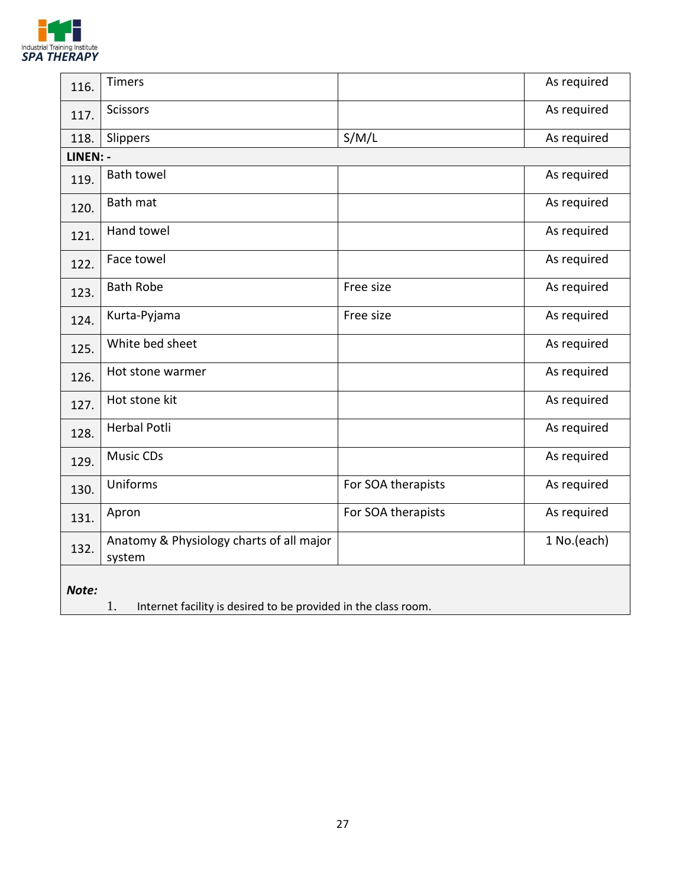

| 116.     | <b>Timers</b>                                                        |                    | As required |
|----------|----------------------------------------------------------------------|--------------------|-------------|
| 117.     | Scissors                                                             |                    | As required |
| 118.     | Slippers                                                             | S/M/L              | As required |
| LINEN: - |                                                                      |                    |             |
| 119.     | <b>Bath towel</b>                                                    |                    | As required |
| 120.     | Bath mat                                                             |                    | As required |
| 121.     | Hand towel                                                           |                    | As required |
| 122.     | Face towel                                                           |                    | As required |
| 123.     | <b>Bath Robe</b>                                                     | Free size          | As required |
| 124.     | Kurta-Pyjama                                                         | Free size          | As required |
| 125.     | White bed sheet                                                      |                    | As required |
| 126.     | Hot stone warmer                                                     |                    | As required |
| 127.     | Hot stone kit                                                        |                    | As required |
| 128.     | <b>Herbal Potli</b>                                                  |                    | As required |
| 129.     | <b>Music CDs</b>                                                     |                    | As required |
| 130.     | Uniforms                                                             | For SOA therapists | As required |
| 131.     | Apron                                                                | For SOA therapists | As required |
| 132.     | Anatomy & Physiology charts of all major<br>system                   |                    | 1 No.(each) |
| Note:    | 1.<br>Internet facility is desired to be provided in the class room. |                    |             |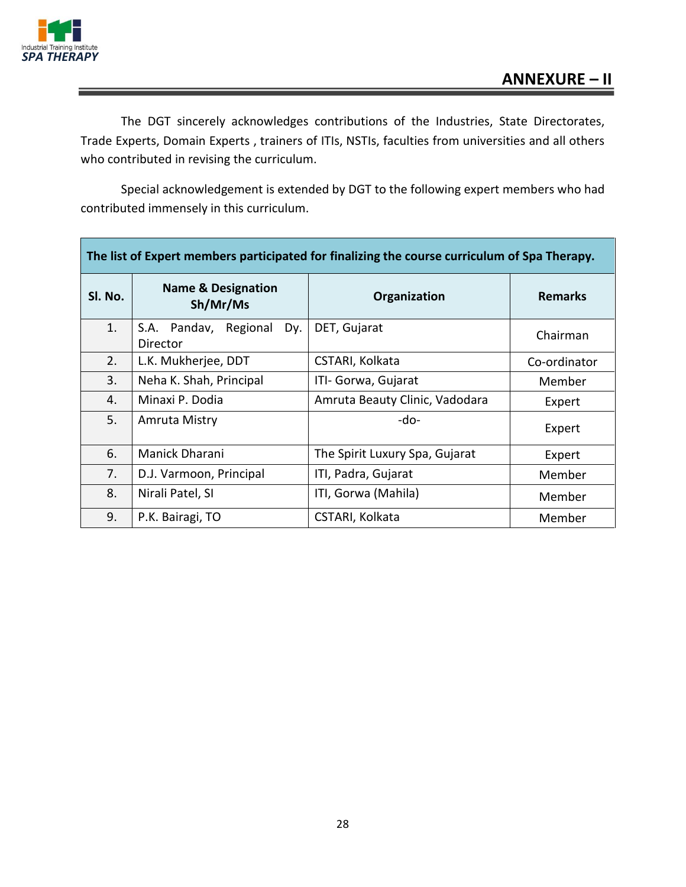



The DGT sincerely acknowledges contributions of the Industries, State Directorates, Trade Experts, Domain Experts , trainers of ITIs, NSTIs, faculties from universities and all others who contributed in revising the curriculum.

Special acknowledgement is extended by DGT to the following expert members who had contributed immensely in this curriculum.

| The list of Expert members participated for finalizing the course curriculum of Spa Therapy. |                                             |                                |                |  |  |
|----------------------------------------------------------------------------------------------|---------------------------------------------|--------------------------------|----------------|--|--|
| SI. No.                                                                                      | <b>Name &amp; Designation</b><br>Sh/Mr/Ms   | Organization                   | <b>Remarks</b> |  |  |
| 1.                                                                                           | Regional<br>S.A. Pandav,<br>Dy.<br>Director | DET, Gujarat                   | Chairman       |  |  |
| 2.                                                                                           | L.K. Mukherjee, DDT                         | CSTARI, Kolkata                | Co-ordinator   |  |  |
| 3.                                                                                           | Neha K. Shah, Principal                     | ITI- Gorwa, Gujarat            | Member         |  |  |
| 4.                                                                                           | Minaxi P. Dodia                             | Amruta Beauty Clinic, Vadodara | Expert         |  |  |
| 5.                                                                                           | Amruta Mistry                               | -do-                           | Expert         |  |  |
| 6.                                                                                           | Manick Dharani                              | The Spirit Luxury Spa, Gujarat | Expert         |  |  |
| 7.                                                                                           | D.J. Varmoon, Principal                     | ITI, Padra, Gujarat            | Member         |  |  |
| 8.                                                                                           | Nirali Patel, SI                            | ITI, Gorwa (Mahila)            | Member         |  |  |
| 9.                                                                                           | P.K. Bairagi, TO                            | CSTARI, Kolkata                | Member         |  |  |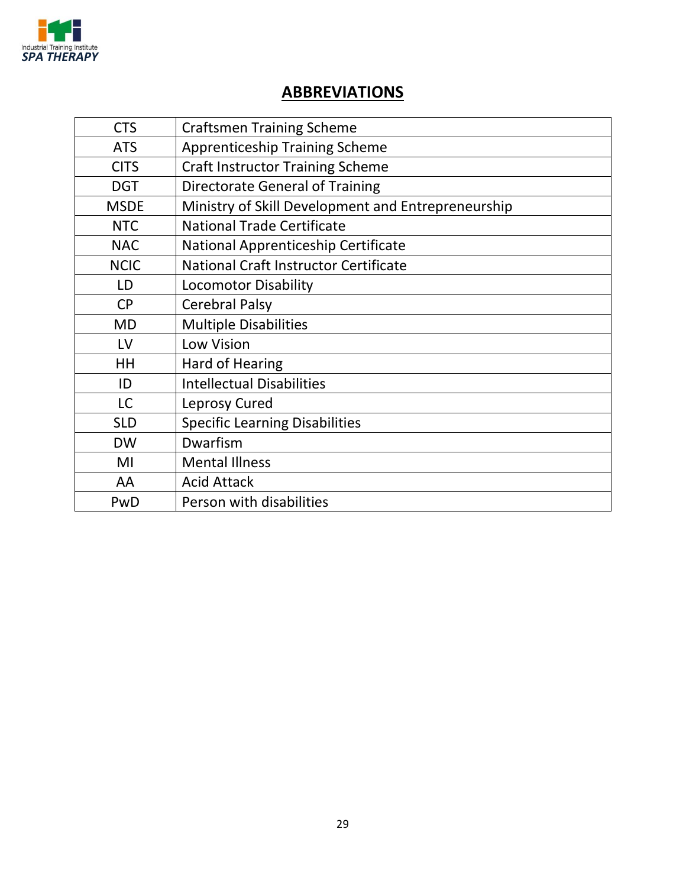

#### **ABBREVIATIONS**

| <b>CTS</b>  | <b>Craftsmen Training Scheme</b>                   |
|-------------|----------------------------------------------------|
| <b>ATS</b>  | <b>Apprenticeship Training Scheme</b>              |
| <b>CITS</b> | <b>Craft Instructor Training Scheme</b>            |
| <b>DGT</b>  | <b>Directorate General of Training</b>             |
| <b>MSDE</b> | Ministry of Skill Development and Entrepreneurship |
| <b>NTC</b>  | <b>National Trade Certificate</b>                  |
| <b>NAC</b>  | National Apprenticeship Certificate                |
| <b>NCIC</b> | <b>National Craft Instructor Certificate</b>       |
| LD          | <b>Locomotor Disability</b>                        |
| <b>CP</b>   | <b>Cerebral Palsy</b>                              |
| <b>MD</b>   | <b>Multiple Disabilities</b>                       |
| LV          | Low Vision                                         |
| <b>HH</b>   | <b>Hard of Hearing</b>                             |
| ID          | <b>Intellectual Disabilities</b>                   |
| <b>LC</b>   | Leprosy Cured                                      |
| <b>SLD</b>  | <b>Specific Learning Disabilities</b>              |
| <b>DW</b>   | Dwarfism                                           |
| MI          | <b>Mental Illness</b>                              |
| AA          | <b>Acid Attack</b>                                 |
| PwD         | Person with disabilities                           |